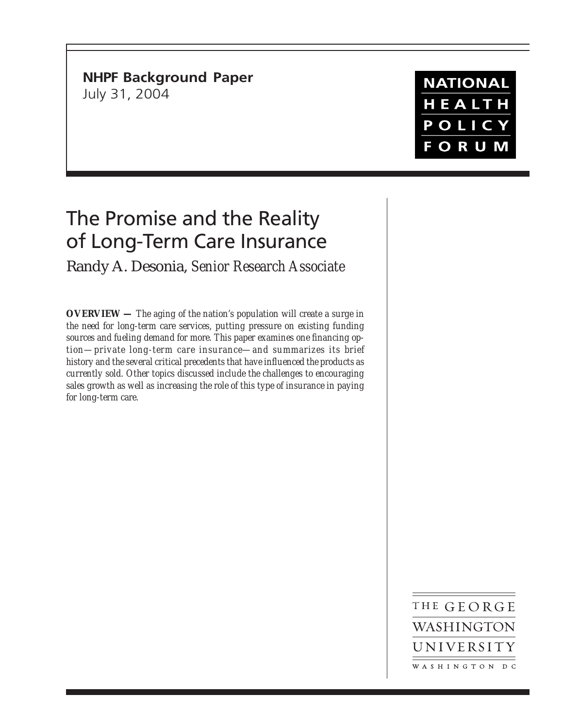**NHPF Background Paper** July 31, 2004

# The Promise and the Reality of Long-Term Care Insurance

Randy A. Desonia, *Senior Research Associate*

**OVERVIEW —** *The aging of the nation's population will create a surge in the need for long-term care services, putting pressure on existing funding sources and fueling demand for more. This paper examines one financing option—private long-term care insurance—and summarizes its brief history and the several critical precedents that have influenced the products as currently sold. Other topics discussed include the challenges to encouraging sales growth as well as increasing the role of this type of insurance in paying for long-term care.*

> THE GEORGE WASHINGTON UNIVERSITY WASHINGTON DC

**NATIONAL** HEALTH POLICY **FORUM**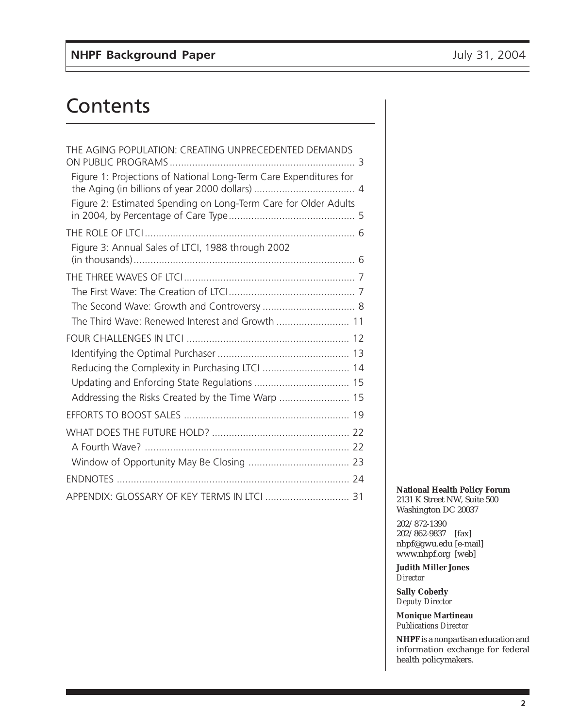# **Contents**

| THE AGING POPULATION: CREATING UNPRECEDENTED DEMANDS              |
|-------------------------------------------------------------------|
| Figure 1: Projections of National Long-Term Care Expenditures for |
| Figure 2: Estimated Spending on Long-Term Care for Older Adults   |
|                                                                   |
| Figure 3: Annual Sales of LTCI, 1988 through 2002                 |
|                                                                   |
|                                                                   |
|                                                                   |
| The Third Wave: Renewed Interest and Growth  11                   |
|                                                                   |
|                                                                   |
|                                                                   |
|                                                                   |
| Addressing the Risks Created by the Time Warp  15                 |
|                                                                   |
|                                                                   |
|                                                                   |
|                                                                   |
|                                                                   |
| APPENDIX: GLOSSARY OF KEY TERMS IN LTCI  31                       |

**National Health Policy Forum** 2131 K Street NW, Suite 500 Washington DC 20037

202/872-1390 202/862-9837 [fax] nhpf@gwu.edu [e-mail] www.nhpf.org [web]

**Judith Miller Jones** *Director*

**Sally Coberly** *Deputy Director*

**Monique Martineau** *Publications Director*

**NHPF** is a nonpartisan education and information exchange for federal health policymakers.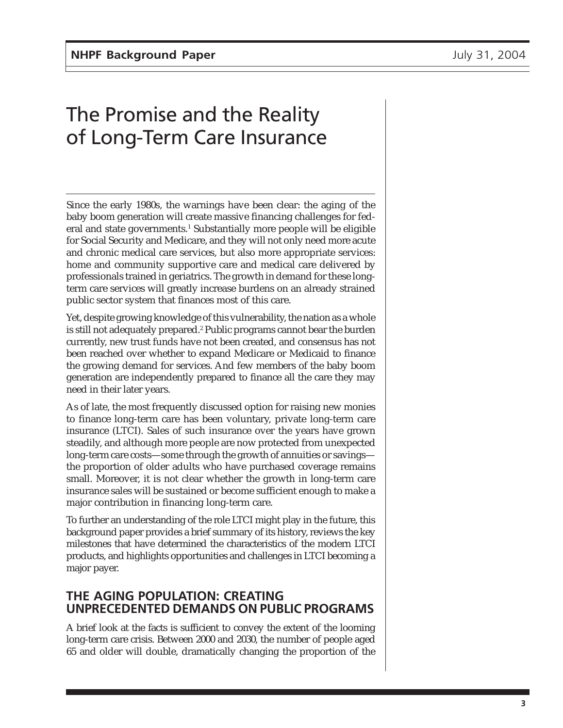# The Promise and the Reality of Long-Term Care Insurance

Since the early 1980s, the warnings have been clear: the aging of the baby boom generation will create massive financing challenges for federal and state governments.<sup>1</sup> Substantially more people will be eligible for Social Security and Medicare, and they will not only need more acute and chronic medical care services, but also more appropriate services: home and community supportive care and medical care delivered by professionals trained in geriatrics. The growth in demand for these longterm care services will greatly increase burdens on an already strained public sector system that finances most of this care.

Yet, despite growing knowledge of this vulnerability, the nation as a whole is still not adequately prepared.<sup>2</sup> Public programs cannot bear the burden currently, new trust funds have not been created, and consensus has not been reached over whether to expand Medicare or Medicaid to finance the growing demand for services. And few members of the baby boom generation are independently prepared to finance all the care they may need in their later years.

As of late, the most frequently discussed option for raising new monies to finance long-term care has been voluntary, private long-term care insurance (LTCI). Sales of such insurance over the years have grown steadily, and although more people are now protected from unexpected long-term care costs—some through the growth of annuities or savings the proportion of older adults who have purchased coverage remains small. Moreover, it is not clear whether the growth in long-term care insurance sales will be sustained or become sufficient enough to make a major contribution in financing long-term care.

To further an understanding of the role LTCI might play in the future, this background paper provides a brief summary of its history, reviews the key milestones that have determined the characteristics of the modern LTCI products, and highlights opportunities and challenges in LTCI becoming a major payer.

## **THE AGING POPULATION: CREATING UNPRECEDENTED DEMANDS ON PUBLIC PROGRAMS**

A brief look at the facts is sufficient to convey the extent of the looming long-term care crisis. Between 2000 and 2030, the number of people aged 65 and older will double, dramatically changing the proportion of the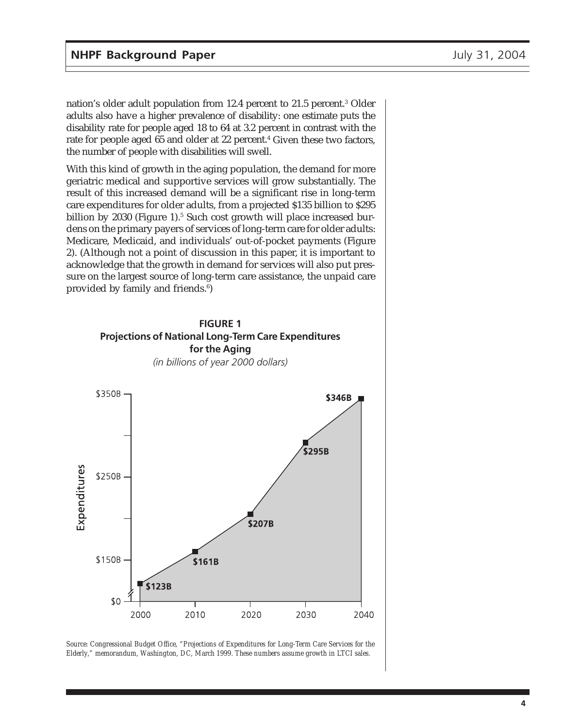nation's older adult population from 12.4 percent to 21.5 percent.<sup>3</sup> Older adults also have a higher prevalence of disability: one estimate puts the disability rate for people aged 18 to 64 at 3.2 percent in contrast with the rate for people aged 65 and older at 22 percent.<sup>4</sup> Given these two factors, the number of people with disabilities will swell.

With this kind of growth in the aging population, the demand for more geriatric medical and supportive services will grow substantially. The result of this increased demand will be a significant rise in long-term care expenditures for older adults, from a projected \$135 billion to \$295 billion by 2030 (Figure 1).<sup>5</sup> Such cost growth will place increased burdens on the primary payers of services of long-term care for older adults: Medicare, Medicaid, and individuals' out-of-pocket payments (Figure 2). (Although not a point of discussion in this paper, it is important to acknowledge that the growth in demand for services will also put pressure on the largest source of long-term care assistance, the unpaid care provided by family and friends.<sup>6</sup>)



*Source: Congressional Budget Office, "Projections of Expenditures for Long-Term Care Services for the Elderly," memorandum, Washington, DC, March 1999. These numbers assume growth in LTCI sales.*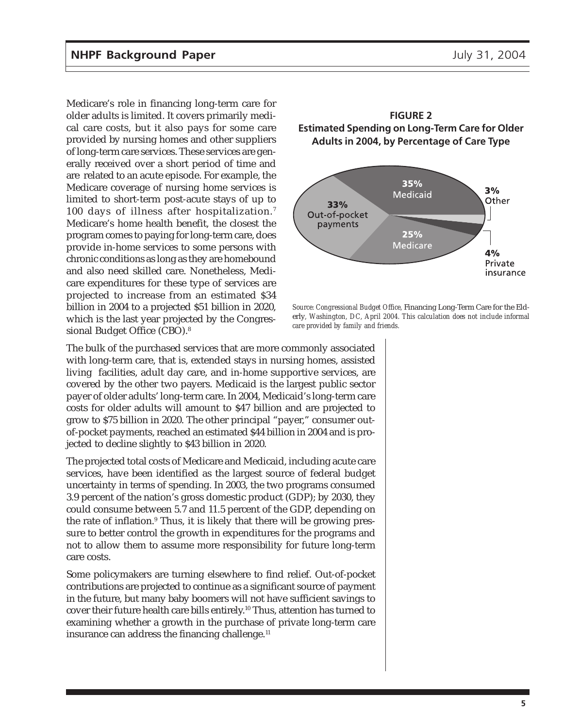Medicare's role in financing long-term care for older adults is limited. It covers primarily medical care costs, but it also pays for some care provided by nursing homes and other suppliers of long-term care services. These services are generally received over a short period of time and are related to an acute episode. For example, the Medicare coverage of nursing home services is limited to short-term post-acute stays of up to 100 days of illness after hospitalization.<sup>7</sup> Medicare's home health benefit, the closest the program comes to paying for long-term care, does provide in-home services to some persons with chronic conditions as long as they are homebound and also need skilled care. Nonetheless, Medicare expenditures for these type of services are projected to increase from an estimated \$34 billion in 2004 to a projected \$51 billion in 2020, which is the last year projected by the Congressional Budget Office (CBO).8





*Source: Congressional Budget Office,* Financing Long-Term Care for the Elderly*, Washington, DC, April 2004. This calculation does not include informal care provided by family and friends.*

The bulk of the purchased services that are more commonly associated with long-term care, that is, extended stays in nursing homes, assisted living facilities, adult day care, and in-home supportive services, are covered by the other two payers. Medicaid is the largest public sector payer of older adults' long-term care. In 2004, Medicaid's long-term care costs for older adults will amount to \$47 billion and are projected to grow to \$75 billion in 2020. The other principal "payer," consumer outof-pocket payments, reached an estimated \$44 billion in 2004 and is projected to decline slightly to \$43 billion in 2020.

The projected total costs of Medicare and Medicaid, including acute care services, have been identified as the largest source of federal budget uncertainty in terms of spending. In 2003, the two programs consumed 3.9 percent of the nation's gross domestic product (GDP); by 2030, they could consume between 5.7 and 11.5 percent of the GDP, depending on the rate of inflation.<sup>9</sup> Thus, it is likely that there will be growing pressure to better control the growth in expenditures for the programs and not to allow them to assume more responsibility for future long-term care costs.

Some policymakers are turning elsewhere to find relief. Out-of-pocket contributions are projected to continue as a significant source of payment in the future, but many baby boomers will not have sufficient savings to cover their future health care bills entirely.10 Thus, attention has turned to examining whether a growth in the purchase of private long-term care insurance can address the financing challenge.<sup>11</sup>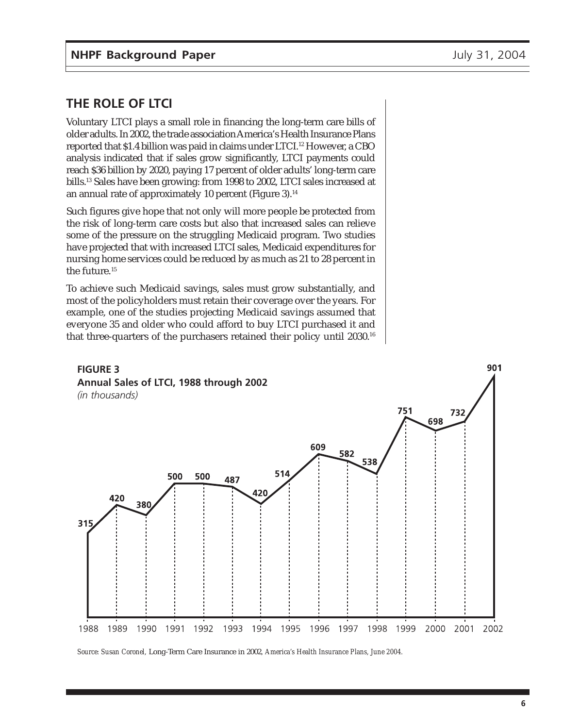901

## **THE ROLE OF LTCI**

Voluntary LTCI plays a small role in financing the long-term care bills of older adults. In 2002, the trade association America's Health Insurance Plans reported that \$1.4 billion was paid in claims under LTCI.<sup>12</sup> However, a CBO analysis indicated that if sales grow significantly, LTCI payments could reach \$36 billion by 2020, paying 17 percent of older adults' long-term care bills.13 Sales have been growing: from 1998 to 2002, LTCI sales increased at an annual rate of approximately 10 percent (Figure 3).<sup>14</sup>

Such figures give hope that not only will more people be protected from the risk of long-term care costs but also that increased sales can relieve some of the pressure on the struggling Medicaid program. Two studies have projected that with increased LTCI sales, Medicaid expenditures for nursing home services could be reduced by as much as 21 to 28 percent in the future.<sup>15</sup>

To achieve such Medicaid savings, sales must grow substantially, and most of the policyholders must retain their coverage over the years. For example, one of the studies projecting Medicaid savings assumed that everyone 35 and older who could afford to buy LTCI purchased it and that three-quarters of the purchasers retained their policy until 2030.16

## **FIGURE 3 Annual Sales of LTCI, 1988 through 2002**



*Source: Susan Coronel,* Long-Term Care Insurance in 2002*, America's Health Insurance Plans, June 2004.*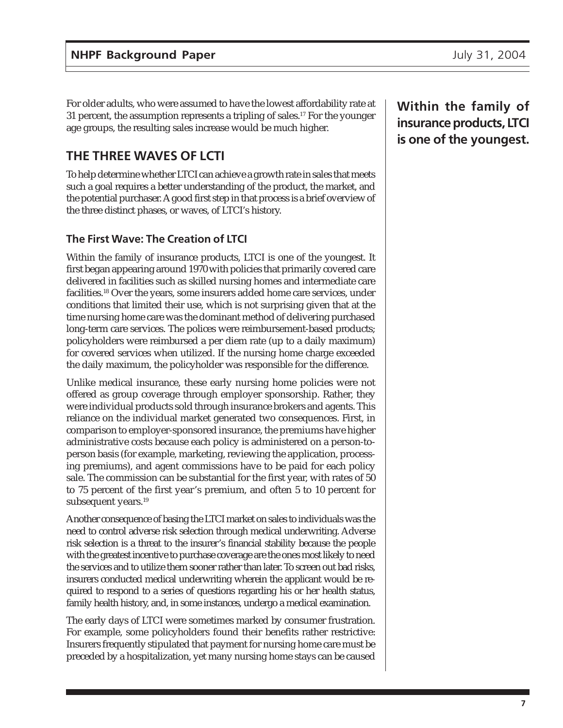For older adults, who were assumed to have the lowest affordability rate at 31 percent, the assumption represents a tripling of sales.<sup>17</sup> For the younger age groups, the resulting sales increase would be much higher.

## **THE THREE WAVES OF LCTI**

To help determine whether LTCI can achieve a growth rate in sales that meets such a goal requires a better understanding of the product, the market, and the potential purchaser. A good first step in that process is a brief overview of the three distinct phases, or waves, of LTCI's history.

### **The First Wave: The Creation of LTCI**

Within the family of insurance products, LTCI is one of the youngest. It first began appearing around 1970 with policies that primarily covered care delivered in facilities such as skilled nursing homes and intermediate care facilities.<sup>18</sup> Over the years, some insurers added home care services, under conditions that limited their use, which is not surprising given that at the time nursing home care was the dominant method of delivering purchased long-term care services. The polices were reimbursement-based products; policyholders were reimbursed a per diem rate (up to a daily maximum) for covered services when utilized. If the nursing home charge exceeded the daily maximum, the policyholder was responsible for the difference.

Unlike medical insurance, these early nursing home policies were not offered as group coverage through employer sponsorship. Rather, they were individual products sold through insurance brokers and agents. This reliance on the individual market generated two consequences. First, in comparison to employer-sponsored insurance, the premiums have higher administrative costs because each policy is administered on a person-toperson basis (for example, marketing, reviewing the application, processing premiums), and agent commissions have to be paid for each policy sale. The commission can be substantial for the first year, with rates of 50 to 75 percent of the first year's premium, and often 5 to 10 percent for subsequent years.<sup>19</sup>

Another consequence of basing the LTCI market on sales to individuals was the need to control adverse risk selection through medical underwriting. Adverse risk selection is a threat to the insurer's financial stability because the people with the greatest incentive to purchase coverage are the ones most likely to need the services and to utilize them sooner rather than later. To screen out bad risks, insurers conducted medical underwriting wherein the applicant would be required to respond to a series of questions regarding his or her health status, family health history, and, in some instances, undergo a medical examination.

The early days of LTCI were sometimes marked by consumer frustration. For example, some policyholders found their benefits rather restrictive: Insurers frequently stipulated that payment for nursing home care must be preceded by a hospitalization, yet many nursing home stays can be caused **Within the family of insurance products, LTCI is one of the youngest.**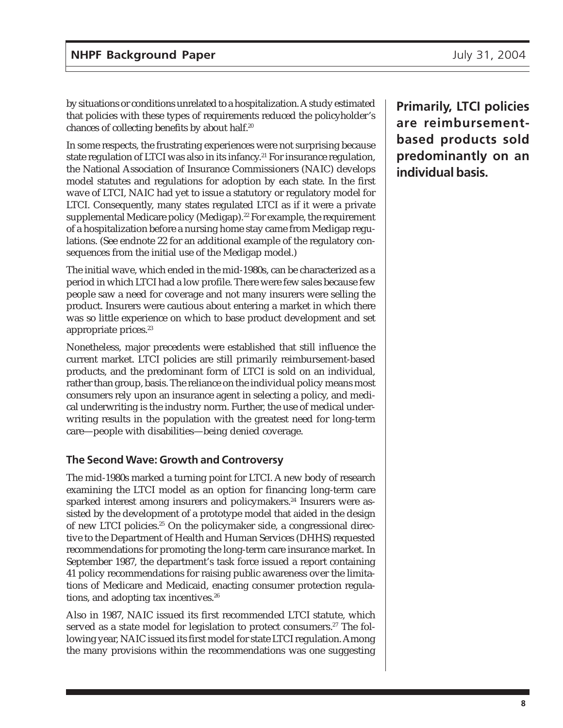by situations or conditions unrelated to a hospitalization. A study estimated that policies with these types of requirements reduced the policyholder's chances of collecting benefits by about half.20

In some respects, the frustrating experiences were not surprising because state regulation of LTCI was also in its infancy.<sup>21</sup> For insurance regulation, the National Association of Insurance Commissioners (NAIC) develops model statutes and regulations for adoption by each state. In the first wave of LTCI, NAIC had yet to issue a statutory or regulatory model for LTCI. Consequently, many states regulated LTCI as if it were a private supplemental Medicare policy (Medigap).<sup>22</sup> For example, the requirement of a hospitalization before a nursing home stay came from Medigap regulations. (See endnote 22 for an additional example of the regulatory consequences from the initial use of the Medigap model.)

The initial wave, which ended in the mid-1980s, can be characterized as a period in which LTCI had a low profile. There were few sales because few people saw a need for coverage and not many insurers were selling the product. Insurers were cautious about entering a market in which there was so little experience on which to base product development and set appropriate prices.<sup>23</sup>

Nonetheless, major precedents were established that still influence the current market. LTCI policies are still primarily reimbursement-based products, and the predominant form of LTCI is sold on an individual, rather than group, basis. The reliance on the individual policy means most consumers rely upon an insurance agent in selecting a policy, and medical underwriting is the industry norm. Further, the use of medical underwriting results in the population with the greatest need for long-term care—people with disabilities—being denied coverage.

#### **The Second Wave: Growth and Controversy**

The mid-1980s marked a turning point for LTCI. A new body of research examining the LTCI model as an option for financing long-term care sparked interest among insurers and policymakers.<sup>24</sup> Insurers were assisted by the development of a prototype model that aided in the design of new LTCI policies.<sup>25</sup> On the policymaker side, a congressional directive to the Department of Health and Human Services (DHHS) requested recommendations for promoting the long-term care insurance market. In September 1987, the department's task force issued a report containing 41 policy recommendations for raising public awareness over the limitations of Medicare and Medicaid, enacting consumer protection regulations, and adopting tax incentives.26

Also in 1987, NAIC issued its first recommended LTCI statute, which served as a state model for legislation to protect consumers.<sup>27</sup> The following year, NAIC issued its first model for state LTCI regulation. Among the many provisions within the recommendations was one suggesting

**Primarily, LTCI policies are reimbursementbased products sold predominantly on an individual basis.**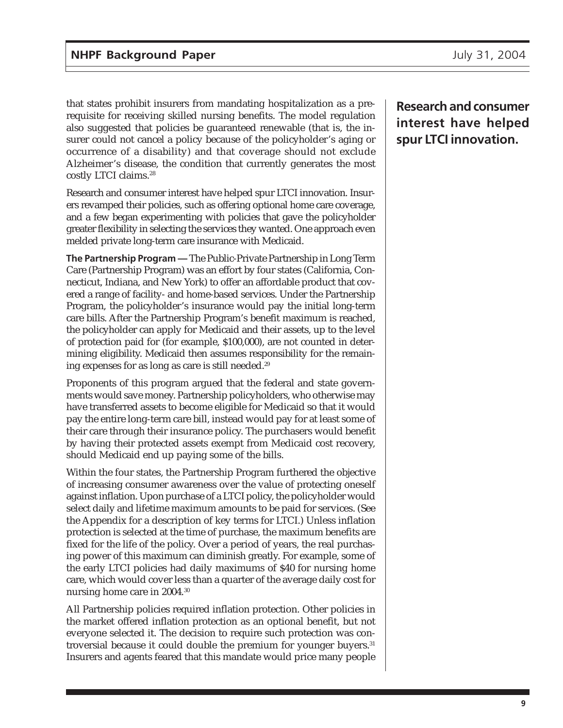that states prohibit insurers from mandating hospitalization as a prerequisite for receiving skilled nursing benefits. The model regulation also suggested that policies be guaranteed renewable (that is, the insurer could not cancel a policy because of the policyholder's aging or occurrence of a disability) and that coverage should not exclude Alzheimer's disease, the condition that currently generates the most costly LTCI claims.<sup>28</sup>

Research and consumer interest have helped spur LTCI innovation. Insurers revamped their policies, such as offering optional home care coverage, and a few began experimenting with policies that gave the policyholder greater flexibility in selecting the services they wanted. One approach even melded private long-term care insurance with Medicaid.

**The Partnership Program —** The Public-Private Partnership in Long Term Care (Partnership Program) was an effort by four states (California, Connecticut, Indiana, and New York) to offer an affordable product that covered a range of facility- and home-based services. Under the Partnership Program, the policyholder's insurance would pay the initial long-term care bills. After the Partnership Program's benefit maximum is reached, the policyholder can apply for Medicaid and their assets, up to the level of protection paid for (for example, \$100,000), are not counted in determining eligibility. Medicaid then assumes responsibility for the remaining expenses for as long as care is still needed.29

Proponents of this program argued that the federal and state governments would save money. Partnership policyholders, who otherwise may have transferred assets to become eligible for Medicaid so that it would pay the entire long-term care bill, instead would pay for at least some of their care through their insurance policy. The purchasers would benefit by having their protected assets exempt from Medicaid cost recovery, should Medicaid end up paying some of the bills.

Within the four states, the Partnership Program furthered the objective of increasing consumer awareness over the value of protecting oneself against inflation. Upon purchase of a LTCI policy, the policyholder would select daily and lifetime maximum amounts to be paid for services. (See the Appendix for a description of key terms for LTCI.) Unless inflation protection is selected at the time of purchase, the maximum benefits are fixed for the life of the policy. Over a period of years, the real purchasing power of this maximum can diminish greatly. For example, some of the early LTCI policies had daily maximums of \$40 for nursing home care, which would cover less than a quarter of the average daily cost for nursing home care in 2004.30

All Partnership policies required inflation protection. Other policies in the market offered inflation protection as an optional benefit, but not everyone selected it. The decision to require such protection was controversial because it could double the premium for younger buyers.<sup>31</sup> Insurers and agents feared that this mandate would price many people

**Research and consumer interest have helped spur LTCI innovation.**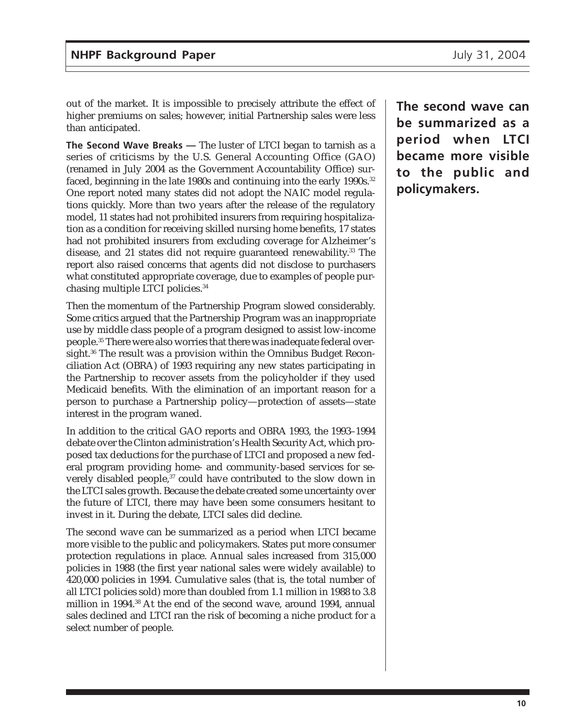out of the market. It is impossible to precisely attribute the effect of higher premiums on sales; however, initial Partnership sales were less than anticipated.

**The Second Wave Breaks —** The luster of LTCI began to tarnish as a series of criticisms by the U.S. General Accounting Office (GAO) (renamed in July 2004 as the Government Accountability Office) surfaced, beginning in the late 1980s and continuing into the early 1990s.<sup>32</sup> One report noted many states did not adopt the NAIC model regulations quickly. More than two years after the release of the regulatory model, 11 states had not prohibited insurers from requiring hospitalization as a condition for receiving skilled nursing home benefits, 17 states had not prohibited insurers from excluding coverage for Alzheimer's disease, and 21 states did not require guaranteed renewability.<sup>33</sup> The report also raised concerns that agents did not disclose to purchasers what constituted appropriate coverage, due to examples of people purchasing multiple LTCI policies.34

Then the momentum of the Partnership Program slowed considerably. Some critics argued that the Partnership Program was an inappropriate use by middle class people of a program designed to assist low-income people.35 There were also worries that there was inadequate federal oversight.<sup>36</sup> The result was a provision within the Omnibus Budget Reconciliation Act (OBRA) of 1993 requiring any new states participating in the Partnership to recover assets from the policyholder if they used Medicaid benefits. With the elimination of an important reason for a person to purchase a Partnership policy—protection of assets—state interest in the program waned.

In addition to the critical GAO reports and OBRA 1993, the 1993–1994 debate over the Clinton administration's Health Security Act, which proposed tax deductions for the purchase of LTCI and proposed a new federal program providing home- and community-based services for severely disabled people,<sup>37</sup> could have contributed to the slow down in the LTCI sales growth. Because the debate created some uncertainty over the future of LTCI, there may have been some consumers hesitant to invest in it. During the debate, LTCI sales did decline.

The second wave can be summarized as a period when LTCI became more visible to the public and policymakers. States put more consumer protection regulations in place. Annual sales increased from 315,000 policies in 1988 (the first year national sales were widely available) to 420,000 policies in 1994. Cumulative sales (that is, the total number of all LTCI policies sold) more than doubled from 1.1 million in 1988 to 3.8 million in 1994.38 At the end of the second wave, around 1994, annual sales declined and LTCI ran the risk of becoming a niche product for a select number of people.

**The second wave can be summarized as a period when LTCI became more visible to the public and policymakers.**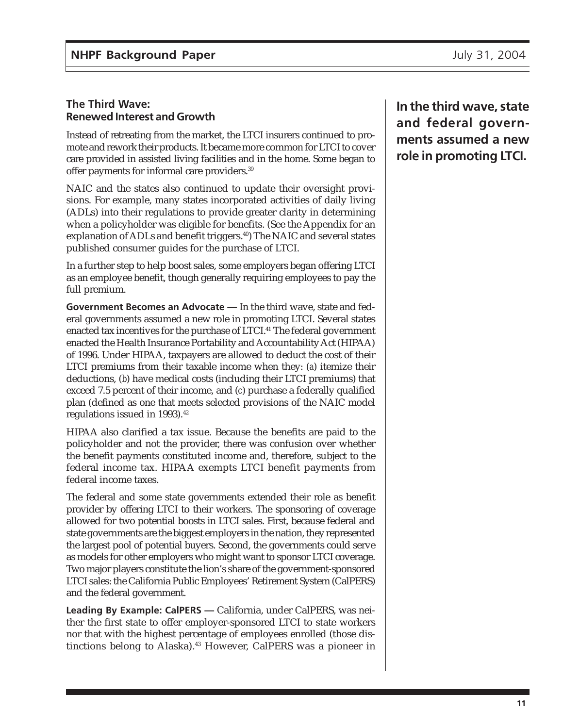#### **The Third Wave: Renewed Interest and Growth**

Instead of retreating from the market, the LTCI insurers continued to promote and rework their products. It became more common for LTCI to cover care provided in assisted living facilities and in the home. Some began to offer payments for informal care providers.39

NAIC and the states also continued to update their oversight provisions. For example, many states incorporated activities of daily living (ADLs) into their regulations to provide greater clarity in determining when a policyholder was eligible for benefits. (See the Appendix for an explanation of ADLs and benefit triggers.<sup>40</sup>) The NAIC and several states published consumer guides for the purchase of LTCI.

In a further step to help boost sales, some employers began offering LTCI as an employee benefit, though generally requiring employees to pay the full premium.

**Government Becomes an Advocate —** In the third wave, state and federal governments assumed a new role in promoting LTCI. Several states enacted tax incentives for the purchase of LTCI.<sup>41</sup> The federal government enacted the Health Insurance Portability and Accountability Act (HIPAA) of 1996. Under HIPAA, taxpayers are allowed to deduct the cost of their LTCI premiums from their taxable income when they: (*a*) itemize their deductions, (*b*) have medical costs (including their LTCI premiums) that exceed 7.5 percent of their income, and (*c*) purchase a federally qualified plan (defined as one that meets selected provisions of the NAIC model regulations issued in 1993).<sup>42</sup>

HIPAA also clarified a tax issue. Because the benefits are paid to the policyholder and not the provider, there was confusion over whether the benefit payments constituted income and, therefore, subject to the federal income tax. HIPAA exempts LTCI benefit payments from federal income taxes.

The federal and some state governments extended their role as benefit provider by offering LTCI to their workers. The sponsoring of coverage allowed for two potential boosts in LTCI sales. First, because federal and state governments are the biggest employers in the nation, they represented the largest pool of potential buyers. Second, the governments could serve as models for other employers who might want to sponsor LTCI coverage. Two major players constitute the lion's share of the government-sponsored LTCI sales: the California Public Employees' Retirement System (CalPERS) and the federal government.

**Leading By Example: CalPERS —** California, under CalPERS, was neither the first state to offer employer-sponsored LTCI to state workers nor that with the highest percentage of employees enrolled (those distinctions belong to Alaska).<sup>43</sup> However, CalPERS was a pioneer in

**In the third wave, state and federal governments assumed a new role in promoting LTCI.**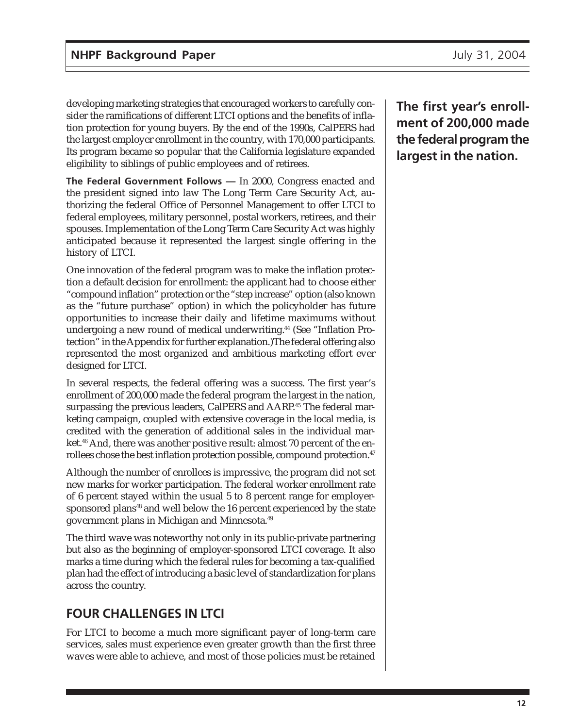developing marketing strategies that encouraged workers to carefully consider the ramifications of different LTCI options and the benefits of inflation protection for young buyers. By the end of the 1990s, CalPERS had the largest employer enrollment in the country, with 170,000 participants. Its program became so popular that the California legislature expanded eligibility to siblings of public employees and of retirees.

**The Federal Government Follows —** In 2000, Congress enacted and the president signed into law The Long Term Care Security Act, authorizing the federal Office of Personnel Management to offer LTCI to federal employees, military personnel, postal workers, retirees, and their spouses. Implementation of the Long Term Care Security Act was highly anticipated because it represented the largest single offering in the history of LTCI.

One innovation of the federal program was to make the inflation protection a default decision for enrollment: the applicant had to choose either "compound inflation" protection or the "step increase" option (also known as the "future purchase" option) in which the policyholder has future opportunities to increase their daily and lifetime maximums without undergoing a new round of medical underwriting.<sup>44</sup> (See "Inflation Protection" in the Appendix for further explanation.)The federal offering also represented the most organized and ambitious marketing effort ever designed for LTCI.

In several respects, the federal offering was a success. The first year's enrollment of 200,000 made the federal program the largest in the nation, surpassing the previous leaders, CalPERS and AARP.<sup>45</sup> The federal marketing campaign, coupled with extensive coverage in the local media, is credited with the generation of additional sales in the individual market.<sup>46</sup> And, there was another positive result: almost 70 percent of the enrollees chose the best inflation protection possible, compound protection.<sup>47</sup>

Although the number of enrollees is impressive, the program did not set new marks for worker participation. The federal worker enrollment rate of 6 percent stayed within the usual 5 to 8 percent range for employersponsored plans<sup>48</sup> and well below the 16 percent experienced by the state government plans in Michigan and Minnesota.49

The third wave was noteworthy not only in its public-private partnering but also as the beginning of employer-sponsored LTCI coverage. It also marks a time during which the federal rules for becoming a tax-qualified plan had the effect of introducing a basic level of standardization for plans across the country.

## **FOUR CHALLENGES IN LTCI**

For LTCI to become a much more significant payer of long-term care services, sales must experience even greater growth than the first three waves were able to achieve, and most of those policies must be retained **The first year's enrollment of 200,000 made the federal program the largest in the nation.**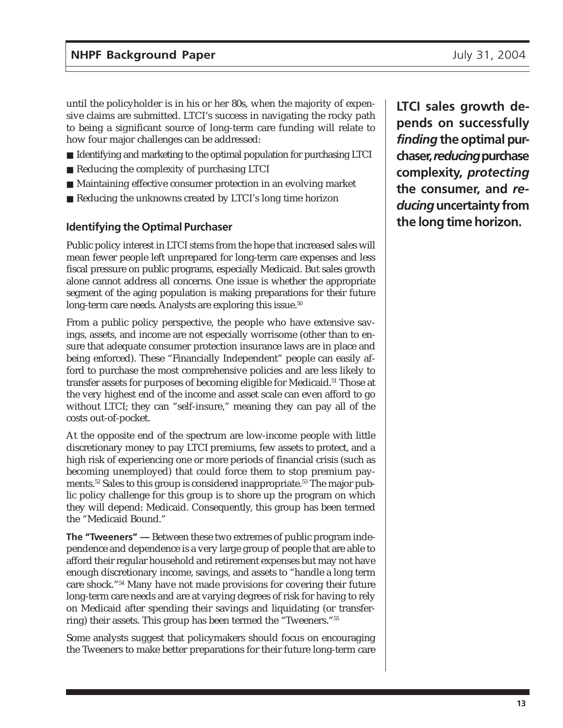until the policyholder is in his or her 80s, when the majority of expensive claims are submitted. LTCI's success in navigating the rocky path to being a significant source of long-term care funding will relate to how four major challenges can be addressed:

- Identifying and marketing to the optimal population for purchasing LTCI
- Reducing the complexity of purchasing LTCI
- Maintaining effective consumer protection in an evolving market
- Reducing the unknowns created by LTCI's long time horizon

#### **Identifying the Optimal Purchaser**

Public policy interest in LTCI stems from the hope that increased sales will mean fewer people left unprepared for long-term care expenses and less fiscal pressure on public programs, especially Medicaid. But sales growth alone cannot address all concerns. One issue is whether the appropriate segment of the aging population is making preparations for their future long-term care needs. Analysts are exploring this issue.<sup>50</sup>

From a public policy perspective, the people who have extensive savings, assets, and income are not especially worrisome (other than to ensure that adequate consumer protection insurance laws are in place and being enforced). These "Financially Independent" people can easily afford to purchase the most comprehensive policies and are less likely to transfer assets for purposes of becoming eligible for Medicaid.<sup>51</sup> Those at the very highest end of the income and asset scale can even afford to go without LTCI; they can "self-insure," meaning they can pay all of the costs out-of-pocket.

At the opposite end of the spectrum are low-income people with little discretionary money to pay LTCI premiums, few assets to protect, and a high risk of experiencing one or more periods of financial crisis (such as becoming unemployed) that could force them to stop premium payments.<sup>52</sup> Sales to this group is considered inappropriate.<sup>53</sup> The major public policy challenge for this group is to shore up the program on which they will depend: Medicaid. Consequently, this group has been termed the "Medicaid Bound."

**The "Tweeners" —** Between these two extremes of public program independence and dependence is a very large group of people that are able to afford their regular household and retirement expenses but may not have enough discretionary income, savings, and assets to "handle a long term care shock."54 Many have not made provisions for covering their future long-term care needs and are at varying degrees of risk for having to rely on Medicaid after spending their savings and liquidating (or transferring) their assets. This group has been termed the "Tweeners."55

Some analysts suggest that policymakers should focus on encouraging the Tweeners to make better preparations for their future long-term care

**LTCI sales growth depends on successfully** *finding* **the optimal purchaser,** *reducing* **purchase complexity,** *protecting* **the consumer, and** *reducing* **uncertainty from the long time horizon.**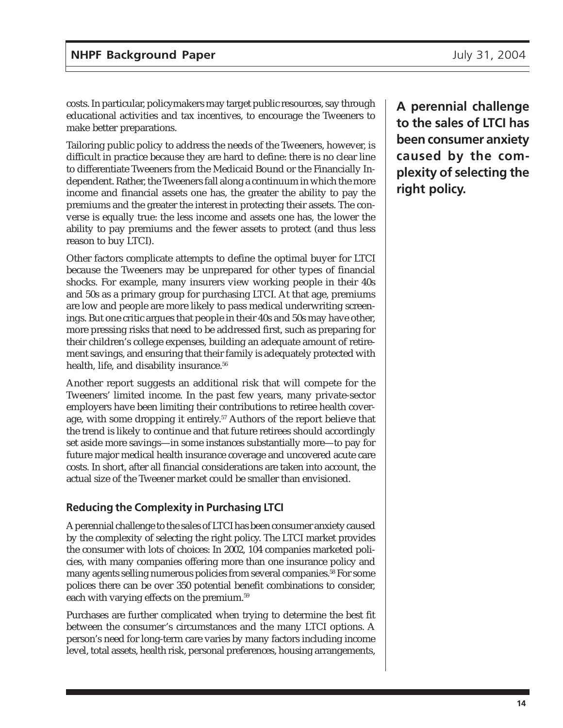costs. In particular, policymakers may target public resources, say through educational activities and tax incentives, to encourage the Tweeners to make better preparations.

Tailoring public policy to address the needs of the Tweeners, however, is difficult in practice because they are hard to define: there is no clear line to differentiate Tweeners from the Medicaid Bound or the Financially Independent. Rather, the Tweeners fall along a continuum in which the more income and financial assets one has, the greater the ability to pay the premiums and the greater the interest in protecting their assets. The converse is equally true: the less income and assets one has, the lower the ability to pay premiums and the fewer assets to protect (and thus less reason to buy LTCI).

Other factors complicate attempts to define the optimal buyer for LTCI because the Tweeners may be unprepared for other types of financial shocks. For example, many insurers view working people in their 40s and 50s as a primary group for purchasing LTCI. At that age, premiums are low and people are more likely to pass medical underwriting screenings. But one critic argues that people in their 40s and 50s may have other, more pressing risks that need to be addressed first, such as preparing for their children's college expenses, building an adequate amount of retirement savings, and ensuring that their family is adequately protected with health, life, and disability insurance.<sup>56</sup>

Another report suggests an additional risk that will compete for the Tweeners' limited income. In the past few years, many private-sector employers have been limiting their contributions to retiree health coverage, with some dropping it entirely.<sup>57</sup> Authors of the report believe that the trend is likely to continue and that future retirees should accordingly set aside more savings—in some instances substantially more—to pay for future major medical health insurance coverage and uncovered acute care costs. In short, after all financial considerations are taken into account, the actual size of the Tweener market could be smaller than envisioned.

#### **Reducing the Complexity in Purchasing LTCI**

A perennial challenge to the sales of LTCI has been consumer anxiety caused by the complexity of selecting the right policy. The LTCI market provides the consumer with lots of choices: In 2002, 104 companies marketed policies, with many companies offering more than one insurance policy and many agents selling numerous policies from several companies.58 For some polices there can be over 350 potential benefit combinations to consider, each with varying effects on the premium.<sup>59</sup>

Purchases are further complicated when trying to determine the best fit between the consumer's circumstances and the many LTCI options. A person's need for long-term care varies by many factors including income level, total assets, health risk, personal preferences, housing arrangements,

**A perennial challenge to the sales of LTCI has been consumer anxiety caused by the complexity of selecting the right policy.**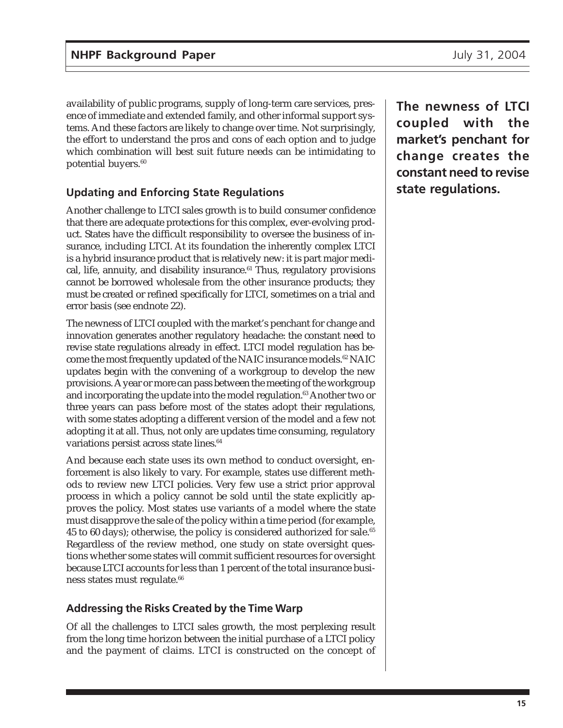availability of public programs, supply of long-term care services, presence of immediate and extended family, and other informal support systems. And these factors are likely to change over time. Not surprisingly, the effort to understand the pros and cons of each option and to judge which combination will best suit future needs can be intimidating to potential buyers.<sup>60</sup>

## **Updating and Enforcing State Regulations**

Another challenge to LTCI sales growth is to build consumer confidence that there are adequate protections for this complex, ever-evolving product. States have the difficult responsibility to oversee the business of insurance, including LTCI. At its foundation the inherently complex LTCI is a hybrid insurance product that is relatively new: it is part major medical, life, annuity, and disability insurance.<sup>61</sup> Thus, regulatory provisions cannot be borrowed wholesale from the other insurance products; they must be created or refined specifically for LTCI, sometimes on a trial and error basis (see endnote 22).

The newness of LTCI coupled with the market's penchant for change and innovation generates another regulatory headache: the constant need to revise state regulations already in effect. LTCI model regulation has become the most frequently updated of the NAIC insurance models.<sup>62</sup> NAIC updates begin with the convening of a workgroup to develop the new provisions. A year or more can pass between the meeting of the workgroup and incorporating the update into the model regulation.<sup>63</sup> Another two or three years can pass before most of the states adopt their regulations, with some states adopting a different version of the model and a few not adopting it at all. Thus, not only are updates time consuming, regulatory variations persist across state lines.<sup>64</sup>

And because each state uses its own method to conduct oversight, enforcement is also likely to vary. For example, states use different methods to review new LTCI policies. Very few use a strict prior approval process in which a policy cannot be sold until the state explicitly approves the policy. Most states use variants of a model where the state must disapprove the sale of the policy within a time period (for example, 45 to 60 days); otherwise, the policy is considered authorized for sale.<sup>65</sup> Regardless of the review method, one study on state oversight questions whether some states will commit sufficient resources for oversight because LTCI accounts for less than 1 percent of the total insurance business states must regulate.<sup>66</sup>

### **Addressing the Risks Created by the Time Warp**

Of all the challenges to LTCI sales growth, the most perplexing result from the long time horizon between the initial purchase of a LTCI policy and the payment of claims. LTCI is constructed on the concept of **The newness of LTCI coupled with the market's penchant for change creates the constant need to revise state regulations.**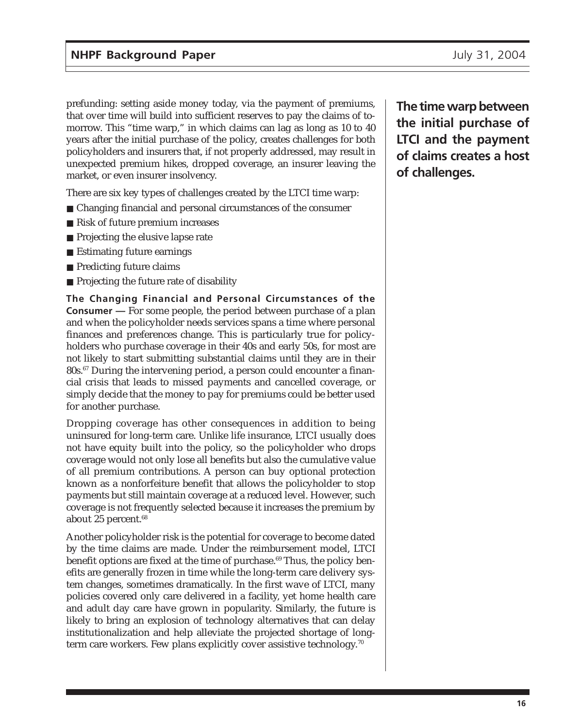prefunding: setting aside money today, via the payment of premiums, that over time will build into sufficient reserves to pay the claims of tomorrow. This "time warp," in which claims can lag as long as 10 to 40 years after the initial purchase of the policy, creates challenges for both policyholders and insurers that, if not properly addressed, may result in unexpected premium hikes, dropped coverage, an insurer leaving the market, or even insurer insolvency.

There are six key types of challenges created by the LTCI time warp:

- Changing financial and personal circumstances of the consumer
- Risk of future premium increases
- Projecting the elusive lapse rate
- Estimating future earnings
- Predicting future claims
- Projecting the future rate of disability

**The Changing Financial and Personal Circumstances of the Consumer —** For some people, the period between purchase of a plan and when the policyholder needs services spans a time where personal finances and preferences change. This is particularly true for policyholders who purchase coverage in their 40s and early 50s, for most are not likely to start submitting substantial claims until they are in their 80s.67 During the intervening period, a person could encounter a financial crisis that leads to missed payments and cancelled coverage, or simply decide that the money to pay for premiums could be better used for another purchase.

Dropping coverage has other consequences in addition to being uninsured for long-term care. Unlike life insurance, LTCI usually does not have equity built into the policy, so the policyholder who drops coverage would not only lose all benefits but also the cumulative value of all premium contributions. A person can buy optional protection known as a nonforfeiture benefit that allows the policyholder to stop payments but still maintain coverage at a reduced level. However, such coverage is not frequently selected because it increases the premium by about 25 percent.<sup>68</sup>

Another policyholder risk is the potential for coverage to become dated by the time claims are made. Under the reimbursement model, LTCI benefit options are fixed at the time of purchase.<sup>69</sup> Thus, the policy benefits are generally frozen in time while the long-term care delivery system changes, sometimes dramatically. In the first wave of LTCI, many policies covered only care delivered in a facility, yet home health care and adult day care have grown in popularity. Similarly, the future is likely to bring an explosion of technology alternatives that can delay institutionalization and help alleviate the projected shortage of longterm care workers. Few plans explicitly cover assistive technology.<sup>70</sup>

**The time warp between the initial purchase of LTCI and the payment of claims creates a host of challenges.**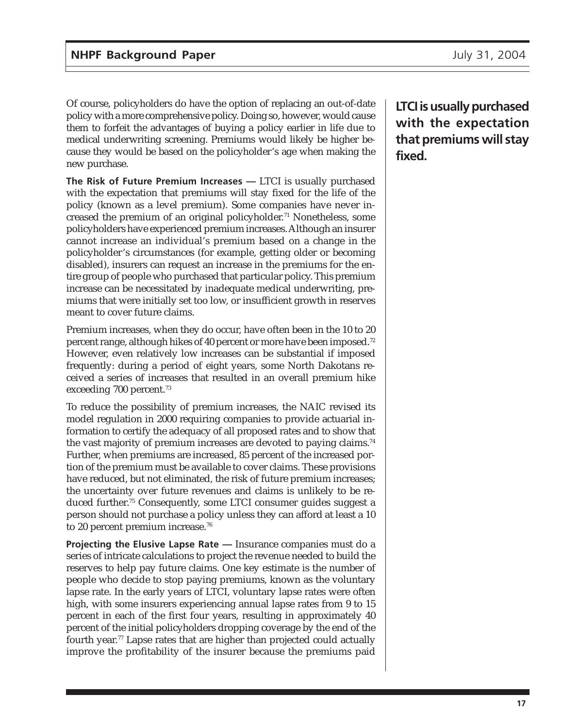Of course, policyholders do have the option of replacing an out-of-date policy with a more comprehensive policy. Doing so, however, would cause them to forfeit the advantages of buying a policy earlier in life due to medical underwriting screening. Premiums would likely be higher because they would be based on the policyholder's age when making the new purchase.

**The Risk of Future Premium Increases —** LTCI is usually purchased with the expectation that premiums will stay fixed for the life of the policy (known as a level premium). Some companies have never increased the premium of an original policyholder.<sup>71</sup> Nonetheless, some policyholders have experienced premium increases. Although an insurer cannot increase an individual's premium based on a change in the policyholder's circumstances (for example, getting older or becoming disabled), insurers can request an increase in the premiums for the entire group of people who purchased that particular policy. This premium increase can be necessitated by inadequate medical underwriting, premiums that were initially set too low, or insufficient growth in reserves meant to cover future claims.

Premium increases, when they do occur, have often been in the 10 to 20 percent range, although hikes of 40 percent or more have been imposed.72 However, even relatively low increases can be substantial if imposed frequently: during a period of eight years, some North Dakotans received a series of increases that resulted in an overall premium hike exceeding 700 percent.<sup>73</sup>

To reduce the possibility of premium increases, the NAIC revised its model regulation in 2000 requiring companies to provide actuarial information to certify the adequacy of all proposed rates and to show that the vast majority of premium increases are devoted to paying claims.<sup>74</sup> Further, when premiums are increased, 85 percent of the increased portion of the premium must be available to cover claims. These provisions have reduced, but not eliminated, the risk of future premium increases; the uncertainty over future revenues and claims is unlikely to be reduced further.75 Consequently, some LTCI consumer guides suggest a person should not purchase a policy unless they can afford at least a 10 to 20 percent premium increase.<sup>76</sup>

**Projecting the Elusive Lapse Rate —** Insurance companies must do a series of intricate calculations to project the revenue needed to build the reserves to help pay future claims. One key estimate is the number of people who decide to stop paying premiums, known as the voluntary lapse rate. In the early years of LTCI, voluntary lapse rates were often high, with some insurers experiencing annual lapse rates from 9 to 15 percent in each of the first four years, resulting in approximately 40 percent of the initial policyholders dropping coverage by the end of the fourth year.77 Lapse rates that are higher than projected could actually improve the profitability of the insurer because the premiums paid

**LTCI is usually purchased with the expectation that premiums will stay fixed.**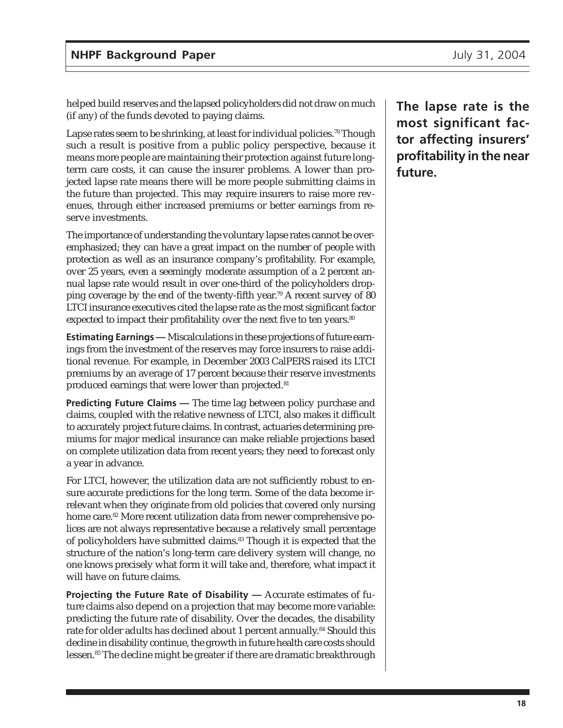helped build reserves and the lapsed policyholders did not draw on much (if any) of the funds devoted to paying claims.

Lapse rates seem to be shrinking, at least for individual policies.<sup>78</sup> Though such a result is positive from a public policy perspective, because it means more people are maintaining their protection against future longterm care costs, it can cause the insurer problems. A lower than projected lapse rate means there will be more people submitting claims in the future than projected. This may require insurers to raise more revenues, through either increased premiums or better earnings from reserve investments.

The importance of understanding the voluntary lapse rates cannot be overemphasized; they can have a great impact on the number of people with protection as well as an insurance company's profitability. For example, over 25 years, even a seemingly moderate assumption of a 2 percent annual lapse rate would result in over one-third of the policyholders dropping coverage by the end of the twenty-fifth year.79 A recent survey of 80 LTCI insurance executives cited the lapse rate as the most significant factor expected to impact their profitability over the next five to ten years.<sup>80</sup>

**Estimating Earnings —** Miscalculations in these projections of future earnings from the investment of the reserves may force insurers to raise additional revenue. For example, in December 2003 CalPERS raised its LTCI premiums by an average of 17 percent because their reserve investments produced earnings that were lower than projected.<sup>81</sup>

**Predicting Future Claims —** The time lag between policy purchase and claims, coupled with the relative newness of LTCI, also makes it difficult to accurately project future claims. In contrast, actuaries determining premiums for major medical insurance can make reliable projections based on complete utilization data from recent years; they need to forecast only a year in advance.

For LTCI, however, the utilization data are not sufficiently robust to ensure accurate predictions for the long term. Some of the data become irrelevant when they originate from old policies that covered only nursing home care.<sup>82</sup> More recent utilization data from newer comprehensive polices are not always representative because a relatively small percentage of policyholders have submitted claims.83 Though it is expected that the structure of the nation's long-term care delivery system will change, no one knows precisely what form it will take and, therefore, what impact it will have on future claims.

**Projecting the Future Rate of Disability —** Accurate estimates of future claims also depend on a projection that may become more variable: predicting the future rate of disability. Over the decades, the disability rate for older adults has declined about 1 percent annually.<sup>84</sup> Should this decline in disability continue, the growth in future health care costs should lessen.85 The decline might be greater if there are dramatic breakthrough

**The lapse rate is the most significant factor affecting insurers' profitability in the near future.**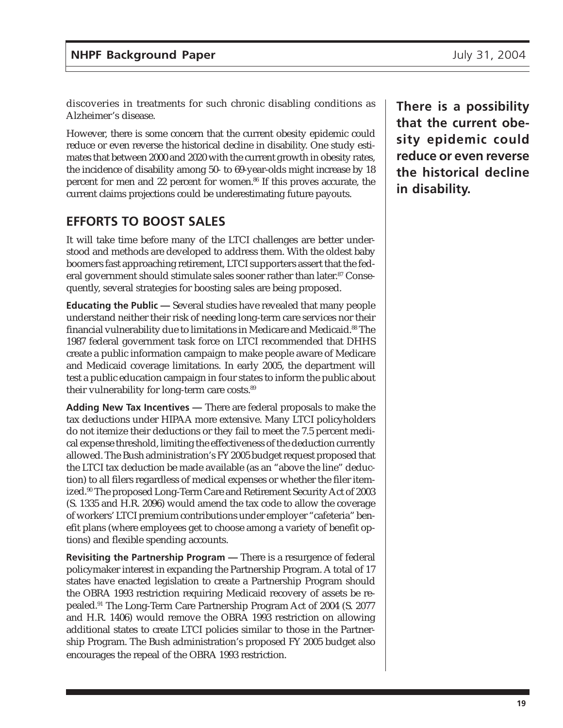discoveries in treatments for such chronic disabling conditions as Alzheimer's disease.

However, there is some concern that the current obesity epidemic could reduce or even reverse the historical decline in disability. One study estimates that between 2000 and 2020 with the current growth in obesity rates, the incidence of disability among 50- to 69-year-olds might increase by 18 percent for men and 22 percent for women.<sup>86</sup> If this proves accurate, the current claims projections could be underestimating future payouts.

## **EFFORTS TO BOOST SALES**

It will take time before many of the LTCI challenges are better understood and methods are developed to address them. With the oldest baby boomers fast approaching retirement, LTCI supporters assert that the federal government should stimulate sales sooner rather than later.<sup>87</sup> Consequently, several strategies for boosting sales are being proposed.

**Educating the Public —** Several studies have revealed that many people understand neither their risk of needing long-term care services nor their financial vulnerability due to limitations in Medicare and Medicaid.88 The 1987 federal government task force on LTCI recommended that DHHS create a public information campaign to make people aware of Medicare and Medicaid coverage limitations. In early 2005, the department will test a public education campaign in four states to inform the public about their vulnerability for long-term care costs.<sup>89</sup>

**Adding New Tax Incentives —** There are federal proposals to make the tax deductions under HIPAA more extensive. Many LTCI policyholders do not itemize their deductions or they fail to meet the 7.5 percent medical expense threshold, limiting the effectiveness of the deduction currently allowed. The Bush administration's FY 2005 budget request proposed that the LTCI tax deduction be made available (as an "above the line" deduction) to all filers regardless of medical expenses or whether the filer itemized.90 The proposed Long-Term Care and Retirement Security Act of 2003 (S. 1335 and H.R. 2096) would amend the tax code to allow the coverage of workers' LTCI premium contributions under employer "cafeteria" benefit plans (where employees get to choose among a variety of benefit options) and flexible spending accounts.

**Revisiting the Partnership Program —** There is a resurgence of federal policymaker interest in expanding the Partnership Program. A total of 17 states have enacted legislation to create a Partnership Program should the OBRA 1993 restriction requiring Medicaid recovery of assets be repealed.91 The Long-Term Care Partnership Program Act of 2004 (S. 2077 and H.R. 1406) would remove the OBRA 1993 restriction on allowing additional states to create LTCI policies similar to those in the Partnership Program. The Bush administration's proposed FY 2005 budget also encourages the repeal of the OBRA 1993 restriction.

**There is a possibility that the current obesity epidemic could reduce or even reverse the historical decline in disability.**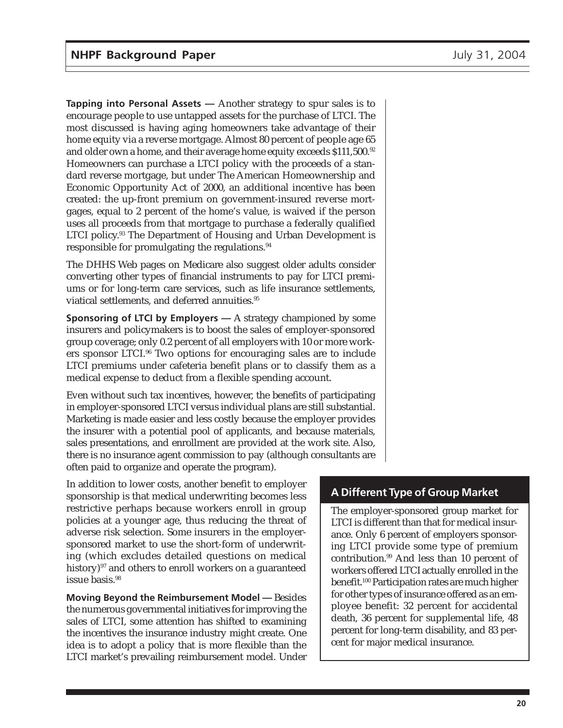**Tapping into Personal Assets —** Another strategy to spur sales is to encourage people to use untapped assets for the purchase of LTCI. The most discussed is having aging homeowners take advantage of their home equity via a reverse mortgage. Almost 80 percent of people age 65 and older own a home, and their average home equity exceeds \$111,500.<sup>92</sup> Homeowners can purchase a LTCI policy with the proceeds of a standard reverse mortgage, but under The American Homeownership and Economic Opportunity Act of 2000, an additional incentive has been created: the up-front premium on government-insured reverse mortgages, equal to 2 percent of the home's value, is waived if the person uses all proceeds from that mortgage to purchase a federally qualified LTCI policy.<sup>93</sup> The Department of Housing and Urban Development is responsible for promulgating the regulations.<sup>94</sup>

The DHHS Web pages on Medicare also suggest older adults consider converting other types of financial instruments to pay for LTCI premiums or for long-term care services, such as life insurance settlements, viatical settlements, and deferred annuities.<sup>95</sup>

**Sponsoring of LTCI by Employers —** A strategy championed by some insurers and policymakers is to boost the sales of employer-sponsored group coverage; only 0.2 percent of all employers with 10 or more workers sponsor LTCI.96 Two options for encouraging sales are to include LTCI premiums under cafeteria benefit plans or to classify them as a medical expense to deduct from a flexible spending account.

Even without such tax incentives, however, the benefits of participating in employer-sponsored LTCI versus individual plans are still substantial. Marketing is made easier and less costly because the employer provides the insurer with a potential pool of applicants, and because materials, sales presentations, and enrollment are provided at the work site. Also, there is no insurance agent commission to pay (although consultants are often paid to organize and operate the program).

In addition to lower costs, another benefit to employer sponsorship is that medical underwriting becomes less restrictive perhaps because workers enroll in group policies at a younger age, thus reducing the threat of adverse risk selection. Some insurers in the employersponsored market to use the short-form of underwriting (which excludes detailed questions on medical history)<sup>97</sup> and others to enroll workers on a guaranteed issue basis.<sup>98</sup>

**Moving Beyond the Reimbursement Model —** Besides the numerous governmental initiatives for improving the sales of LTCI, some attention has shifted to examining the incentives the insurance industry might create. One idea is to adopt a policy that is more flexible than the LTCI market's prevailing reimbursement model. Under

## **A Different Type of Group Market**

The employer-sponsored group market for LTCI is different than that for medical insurance. Only 6 percent of employers sponsoring LTCI provide some type of premium contribution.99 And less than 10 percent of workers offered LTCI actually enrolled in the benefit.100 Participation rates are much higher for other types of insurance offered as an employee benefit: 32 percent for accidental death, 36 percent for supplemental life, 48 percent for long-term disability, and 83 percent for major medical insurance.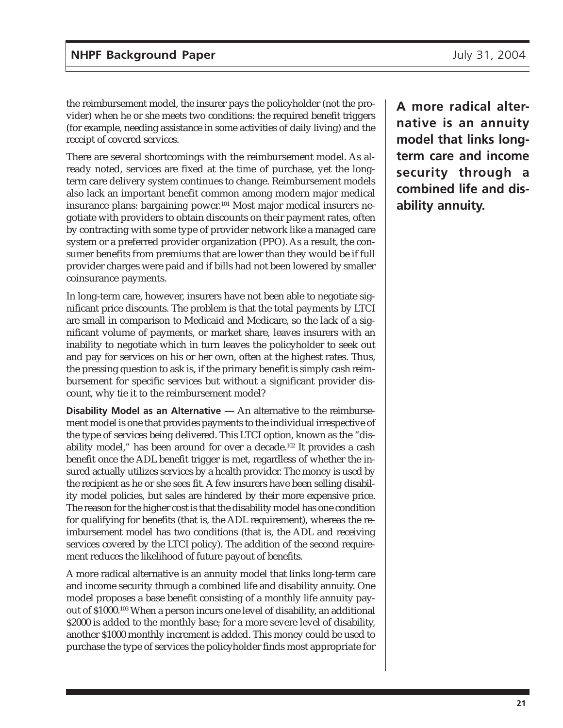the reimbursement model, the insurer pays the policyholder (not the provider) when he or she meets two conditions: the required benefit triggers (for example, needing assistance in some activities of daily living) and the receipt of covered services.

There are several shortcomings with the reimbursement model. As already noted, services are fixed at the time of purchase, yet the longterm care delivery system continues to change. Reimbursement models also lack an important benefit common among modern major medical insurance plans: bargaining power.<sup>101</sup> Most major medical insurers negotiate with providers to obtain discounts on their payment rates, often by contracting with some type of provider network like a managed care system or a preferred provider organization (PPO). As a result, the consumer benefits from premiums that are lower than they would be if full provider charges were paid and if bills had not been lowered by smaller coinsurance payments.

In long-term care, however, insurers have not been able to negotiate significant price discounts. The problem is that the total payments by LTCI are small in comparison to Medicaid and Medicare, so the lack of a significant volume of payments, or market share, leaves insurers with an inability to negotiate which in turn leaves the policyholder to seek out and pay for services on his or her own, often at the highest rates. Thus, the pressing question to ask is, if the primary benefit is simply cash reimbursement for specific services but without a significant provider discount, why tie it to the reimbursement model?

**Disability Model as an Alternative —** An alternative to the reimbursement model is one that provides payments to the individual irrespective of the type of services being delivered. This LTCI option, known as the "disability model," has been around for over a decade.102 It provides a cash benefit once the ADL benefit trigger is met, regardless of whether the insured actually utilizes services by a health provider. The money is used by the recipient as he or she sees fit. A few insurers have been selling disability model policies, but sales are hindered by their more expensive price. The reason for the higher cost is that the disability model has one condition for qualifying for benefits (that is, the ADL requirement), whereas the reimbursement model has two conditions (that is, the ADL and receiving services covered by the LTCI policy). The addition of the second requirement reduces the likelihood of future payout of benefits.

A more radical alternative is an annuity model that links long-term care and income security through a combined life and disability annuity. One model proposes a base benefit consisting of a monthly life annuity payout of \$1000.103 When a person incurs one level of disability, an additional \$2000 is added to the monthly base; for a more severe level of disability, another \$1000 monthly increment is added. This money could be used to purchase the type of services the policyholder finds most appropriate for

**A more radical alternative is an annuity model that links longterm care and income security through a combined life and disability annuity.**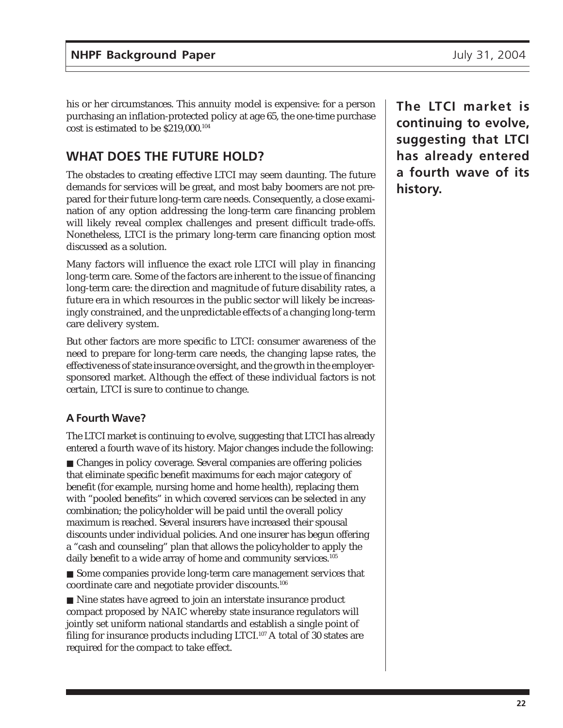his or her circumstances. This annuity model is expensive: for a person purchasing an inflation-protected policy at age 65, the one-time purchase cost is estimated to be \$219,000.104

# **WHAT DOES THE FUTURE HOLD?**

The obstacles to creating effective LTCI may seem daunting. The future demands for services will be great, and most baby boomers are not prepared for their future long-term care needs. Consequently, a close examination of any option addressing the long-term care financing problem will likely reveal complex challenges and present difficult trade-offs. Nonetheless, LTCI is the primary long-term care financing option most discussed as a solution.

Many factors will influence the exact role LTCI will play in financing long-term care. Some of the factors are inherent to the issue of financing long-term care: the direction and magnitude of future disability rates, a future era in which resources in the public sector will likely be increasingly constrained, and the unpredictable effects of a changing long-term care delivery system.

But other factors are more specific to LTCI: consumer awareness of the need to prepare for long-term care needs, the changing lapse rates, the effectiveness of state insurance oversight, and the growth in the employersponsored market. Although the effect of these individual factors is not certain, LTCI is sure to continue to change.

### **A Fourth Wave?**

The LTCI market is continuing to evolve, suggesting that LTCI has already entered a fourth wave of its history. Major changes include the following:

■ Changes in policy coverage. Several companies are offering policies that eliminate specific benefit maximums for each major category of benefit (for example, nursing home and home health), replacing them with "pooled benefits" in which covered services can be selected in any combination; the policyholder will be paid until the overall policy maximum is reached. Several insurers have increased their spousal discounts under individual policies. And one insurer has begun offering a "cash and counseling" plan that allows the policyholder to apply the daily benefit to a wide array of home and community services.<sup>105</sup>

■ Some companies provide long-term care management services that coordinate care and negotiate provider discounts.106

■ Nine states have agreed to join an interstate insurance product compact proposed by NAIC whereby state insurance regulators will jointly set uniform national standards and establish a single point of filing for insurance products including LTCI.<sup>107</sup> A total of 30 states are required for the compact to take effect.

**The LTCI market is continuing to evolve, suggesting that LTCI has already entered a fourth wave of its history.**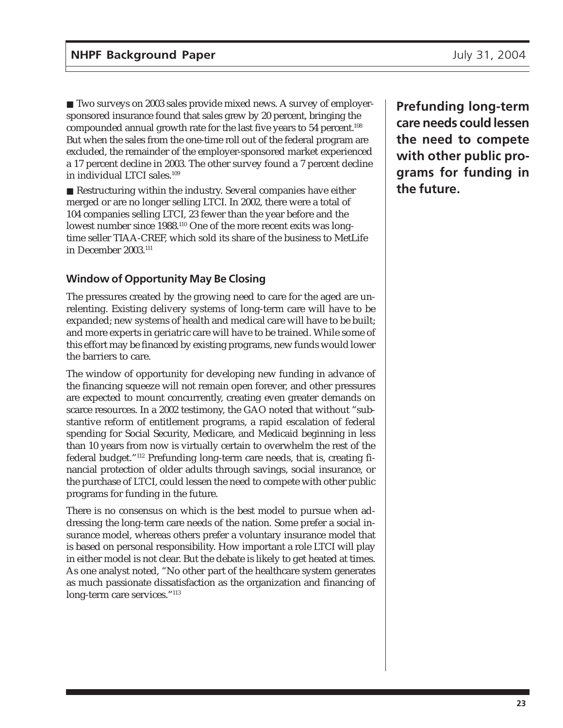■ Two surveys on 2003 sales provide mixed news. A survey of employersponsored insurance found that sales grew by 20 percent, bringing the compounded annual growth rate for the last five years to 54 percent.108 But when the sales from the one-time roll out of the federal program are excluded, the remainder of the employer-sponsored market experienced a 17 percent decline in 2003. The other survey found a 7 percent decline in individual LTCI sales.109

■ Restructuring within the industry. Several companies have either merged or are no longer selling LTCI. In 2002, there were a total of 104 companies selling LTCI, 23 fewer than the year before and the lowest number since 1988.110 One of the more recent exits was longtime seller TIAA-CREF, which sold its share of the business to MetLife in December 2003.111

## **Window of Opportunity May Be Closing**

The pressures created by the growing need to care for the aged are unrelenting. Existing delivery systems of long-term care will have to be expanded; new systems of health and medical care will have to be built; and more experts in geriatric care will have to be trained. While some of this effort may be financed by existing programs, new funds would lower the barriers to care.

The window of opportunity for developing new funding in advance of the financing squeeze will not remain open forever, and other pressures are expected to mount concurrently, creating even greater demands on scarce resources. In a 2002 testimony, the GAO noted that without "substantive reform of entitlement programs, a rapid escalation of federal spending for Social Security, Medicare, and Medicaid beginning in less than 10 years from now is virtually certain to overwhelm the rest of the federal budget."112 Prefunding long-term care needs, that is, creating financial protection of older adults through savings, social insurance, or the purchase of LTCI, could lessen the need to compete with other public programs for funding in the future.

There is no consensus on which is the best model to pursue when addressing the long-term care needs of the nation. Some prefer a social insurance model, whereas others prefer a voluntary insurance model that is based on personal responsibility. How important a role LTCI will play in either model is not clear. But the debate is likely to get heated at times. As one analyst noted, "No other part of the healthcare system generates as much passionate dissatisfaction as the organization and financing of long-term care services."<sup>113</sup>

**Prefunding long-term care needs could lessen the need to compete with other public programs for funding in the future.**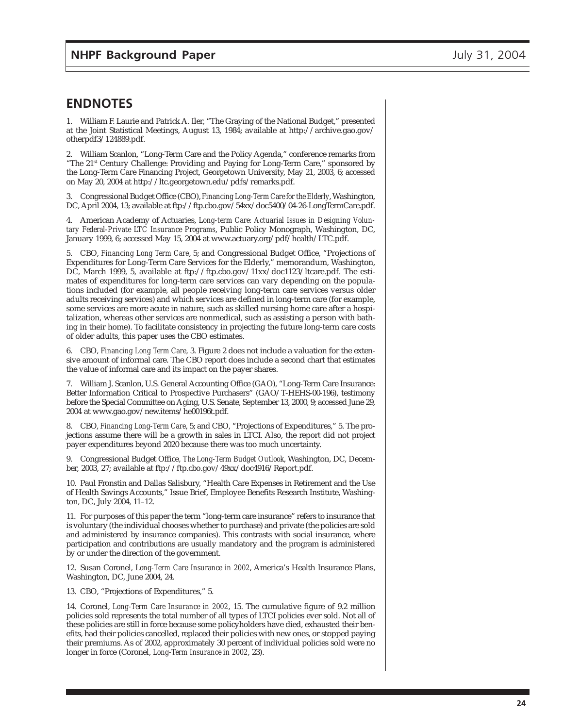### **ENDNOTES**

1. William F. Laurie and Patrick A. Iler, "The Graying of the National Budget," presented at the Joint Statistical Meetings, August 13, 1984; available at http://archive.gao.gov/ otherpdf3/124889.pdf.

2. William Scanlon, "Long-Term Care and the Policy Agenda," conference remarks from "The 21<sup>st</sup> Century Challenge: Providing and Paying for Long-Term Care," sponsored by the Long-Term Care Financing Project, Georgetown University, May 21, 2003, 6; accessed on May 20, 2004 at http://ltc.georgetown.edu/pdfs/remarks.pdf.

3. Congressional Budget Office (CBO), *Financing Long-Term Care for the Elderly*, Washington, DC, April 2004, 13; available at ftp://ftp.cbo.gov/54xx/doc5400/04-26-LongTermCare.pdf.

4. American Academy of Actuaries, *Long-term Care: Actuarial Issues in Designing Voluntary Federal-Private LTC Insurance Programs*, Public Policy Monograph, Washington, DC, January 1999, 6; accessed May 15, 2004 at www.actuary.org/pdf/health/LTC.pdf.

5. CBO, *Financing Long Term Care*, 5; and Congressional Budget Office, "Projections of Expenditures for Long-Term Care Services for the Elderly," memorandum, Washington, DC, March 1999, 5, available at ftp://ftp.cbo.gov/11xx/doc1123/ltcare.pdf. The estimates of expenditures for long-term care services can vary depending on the populations included (for example, all people receiving long-term care services versus older adults receiving services) and which services are defined in long-term care (for example, some services are more acute in nature, such as skilled nursing home care after a hospitalization, whereas other services are nonmedical, such as assisting a person with bathing in their home). To facilitate consistency in projecting the future long-term care costs of older adults, this paper uses the CBO estimates.

6. CBO, *Financing Long Term Care*, 3. Figure 2 does not include a valuation for the extensive amount of informal care. The CBO report does include a second chart that estimates the value of informal care and its impact on the payer shares.

7. William J. Scanlon, U.S. General Accounting Office (GAO), "Long-Term Care Insurance: Better Information Critical to Prospective Purchasers" (GAO/T-HEHS-00-196), testimony before the Special Committee on Aging, U.S. Senate, September 13, 2000, 9; accessed June 29, 2004 at www.gao.gov/new.items/he00196t.pdf.

8. CBO, *Financing Long-Term Care*, 5; and CBO, "Projections of Expenditures," 5. The projections assume there will be a growth in sales in LTCI. Also, the report did not project payer expenditures beyond 2020 because there was too much uncertainty.

9. Congressional Budget Office, *The Long-Term Budget Outlook*, Washington, DC, December, 2003, 27; available at ftp://ftp.cbo.gov/49xx/doc4916/Report.pdf.

10. Paul Fronstin and Dallas Salisbury, "Health Care Expenses in Retirement and the Use of Health Savings Accounts," Issue Brief, Employee Benefits Research Institute, Washington, DC, July 2004, 11–12.

11. For purposes of this paper the term "long-term care insurance" refers to insurance that is voluntary (the individual chooses whether to purchase) and private (the policies are sold and administered by insurance companies). This contrasts with social insurance, where participation and contributions are usually mandatory and the program is administered by or under the direction of the government.

12. Susan Coronel, *Long-Term Care Insurance in 2002*, America's Health Insurance Plans, Washington, DC, June 2004, 24.

13. CBO, "Projections of Expenditures," 5.

14. Coronel, *Long-Term Care Insurance in 2002*, 15. The cumulative figure of 9.2 million policies sold represents the total number of all types of LTCI policies ever sold. Not all of these policies are still in force because some policyholders have died, exhausted their benefits, had their policies cancelled, replaced their policies with new ones, or stopped paying their premiums. As of 2002, approximately 30 percent of individual policies sold were no longer in force (Coronel, *Long-Term Insurance in 2002*, 23).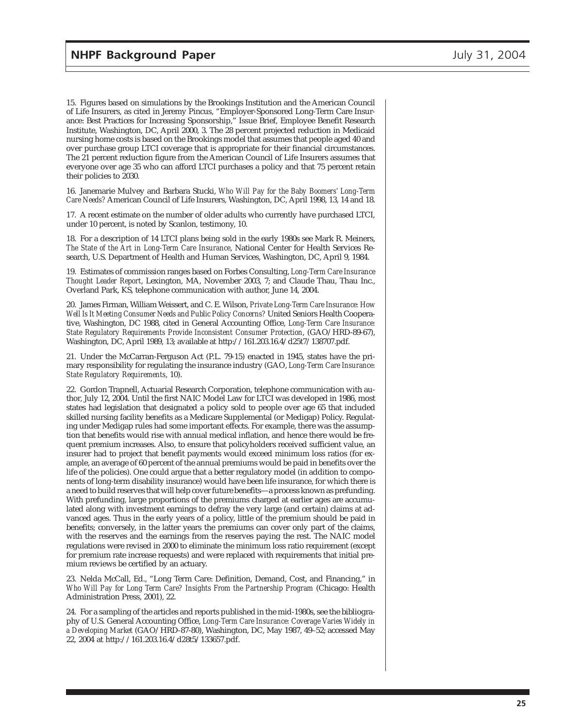15. Figures based on simulations by the Brookings Institution and the American Council of Life Insurers, as cited in Jeremy Pincus, "Employer-Sponsored Long-Term Care Insurance: Best Practices for Increasing Sponsorship," Issue Brief, Employee Benefit Research Institute, Washington, DC, April 2000, 3. The 28 percent projected reduction in Medicaid nursing home costs is based on the Brookings model that assumes that people aged 40 and over purchase group LTCI coverage that is appropriate for their financial circumstances. The 21 percent reduction figure from the American Council of Life Insurers assumes that everyone over age 35 who can afford LTCI purchases a policy and that 75 percent retain their policies to 2030.

16. Janemarie Mulvey and Barbara Stucki, *Who Will Pay for the Baby Boomers' Long-Term Care Needs?* American Council of Life Insurers, Washington, DC, April 1998, 13, 14 and 18.

17. A recent estimate on the number of older adults who currently have purchased LTCI, under 10 percent, is noted by Scanlon, testimony, 10.

18. For a description of 14 LTCI plans being sold in the early 1980s see Mark R. Meiners, *The State of the Art in Long-Term Care Insurance*, National Center for Health Services Research, U.S. Department of Health and Human Services, Washington, DC, April 9, 1984.

19. Estimates of commission ranges based on Forbes Consulting, *Long-Term Care Insurance Thought Leader Report*, Lexington, MA, November 2003, 7; and Claude Thau, Thau Inc., Overland Park, KS, telephone communication with author, June 14, 2004.

20. James Firman, William Weissert, and C. E. Wilson, *Private Long-Term Care Insurance: How Well Is It Meeting Consumer Needs and Public Policy Concerns?* United Seniors Health Cooperative, Washington, DC 1988, cited in General Accounting Office, *Long-Term Care Insurance: State Regulatory Requirements Provide Inconsistent Consumer Protection*, (GAO/HRD-89-67), Washington, DC, April 1989, 13; available at http://161.203.16.4/d25t7/138707.pdf.

21. Under the McCarran-Ferguson Act (P.L. 79-15) enacted in 1945, states have the primary responsibility for regulating the insurance industry (GAO, *Long-Term Care Insurance: State Regulatory Requirements*, 10).

22. Gordon Trapnell, Actuarial Research Corporation, telephone communication with author, July 12, 2004. Until the first NAIC Model Law for LTCI was developed in 1986, most states had legislation that designated a policy sold to people over age 65 that included skilled nursing facility benefits as a Medicare Supplemental (or Medigap) Policy. Regulating under Medigap rules had some important effects. For example, there was the assumption that benefits would rise with annual medical inflation, and hence there would be frequent premium increases. Also, to ensure that policyholders received sufficient value, an insurer had to project that benefit payments would exceed minimum loss ratios (for example, an average of 60 percent of the annual premiums would be paid in benefits over the life of the policies). One could argue that a better regulatory model (in addition to components of long-term disability insurance) would have been life insurance, for which there is a need to build reserves that will help cover future benefits—a process known as prefunding. With prefunding, large proportions of the premiums charged at earlier ages are accumulated along with investment earnings to defray the very large (and certain) claims at advanced ages. Thus in the early years of a policy, little of the premium should be paid in benefits; conversely, in the latter years the premiums can cover only part of the claims, with the reserves and the earnings from the reserves paying the rest. The NAIC model regulations were revised in 2000 to eliminate the minimum loss ratio requirement (except for premium rate increase requests) and were replaced with requirements that initial premium reviews be certified by an actuary.

23. Nelda McCall, Ed., "Long Term Care: Definition, Demand, Cost, and Financing," in *Who Will Pay for Long Term Care? Insights From the Partnership Program* (Chicago: Health Administration Press, 2001), 22.

24. For a sampling of the articles and reports published in the mid-1980s, see the bibliography of U.S. General Accounting Office, *Long-Term Care Insurance: Coverage Varies Widely in a Developing Market* (GAO/HRD-87-80), Washington, DC, May 1987, 49–52; accessed May 22, 2004 at http://161.203.16.4/d28t5/133657.pdf.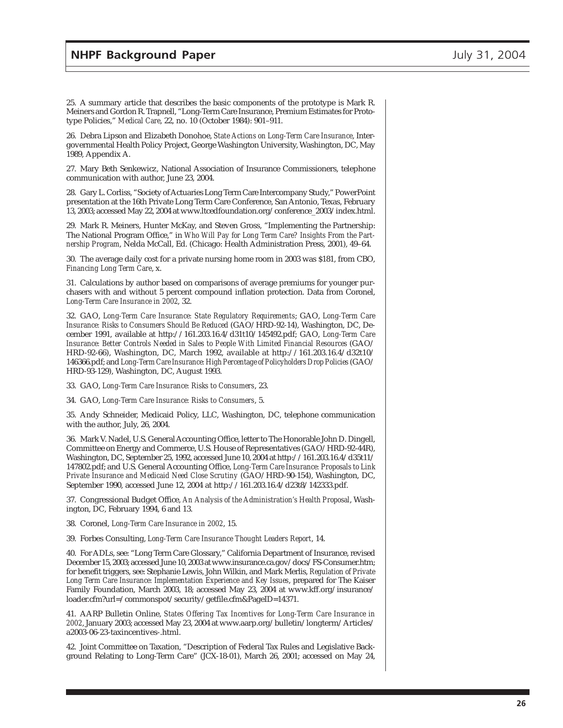25. A summary article that describes the basic components of the prototype is Mark R. Meiners and Gordon R. Trapnell, "Long-Term Care Insurance, Premium Estimates for Prototype Policies," *Medical Care*, 22, no. 10 (October 1984): 901–911.

26. Debra Lipson and Elizabeth Donohoe, *State Actions on Long-Term Care Insurance*, Intergovernmental Health Policy Project, George Washington University, Washington, DC, May 1989, Appendix A.

27. Mary Beth Senkewicz, National Association of Insurance Commissioners, telephone communication with author, June 23, 2004.

28. Gary L. Corliss, "Society of Actuaries Long Term Care Intercompany Study," PowerPoint presentation at the 16th Private Long Term Care Conference, San Antonio, Texas, February 13, 2003; accessed May 22, 2004 at www.ltcedfoundation.org/conference\_2003/index.html.

29. Mark R. Meiners, Hunter McKay, and Steven Gross, "Implementing the Partnership: The National Program Office," in *Who Will Pay for Long Term Care? Insights From the Partnership Program*, Nelda McCall, Ed. (Chicago: Health Administration Press, 2001), 49–64.

30. The average daily cost for a private nursing home room in 2003 was \$181, from CBO, *Financing Long Term Care*, x.

31. Calculations by author based on comparisons of average premiums for younger purchasers with and without 5 percent compound inflation protection. Data from Coronel, *Long-Term Care Insurance in 2002*, 32.

32. GAO, *Long-Term Care Insurance: State Regulatory Requirements*; GAO, *Long-Term Care Insurance: Risks to Consumers Should Be Reduced* (GAO/HRD-92-14), Washington, DC, December 1991, available at http://161.203.16.4/d31t10/145492.pdf; GAO, *Long-Term Care Insurance: Better Controls Needed in Sales to People With Limited Financial Resources* (GAO/ HRD-92-66), Washington, DC, March 1992, available at http://161.203.16.4/d32t10/ 146366.pdf; and *Long-Term Care Insurance: High Percentage of Policyholders Drop Policies* (GAO/ HRD-93-129), Washington, DC, August 1993.

33. GAO, *Long-Term Care Insurance: Risks to Consumers*, 23.

34. GAO, *Long-Term Care Insurance: Risks to Consumers*, 5.

35. Andy Schneider, Medicaid Policy, LLC, Washington, DC, telephone communication with the author, July, 26, 2004.

36. Mark V. Nadel, U.S. General Accounting Office, letter to The Honorable John D. Dingell, Committee on Energy and Commerce, U.S. House of Representatives (GAO/HRD-92-44R), Washington, DC, September 25, 1992, accessed June 10, 2004 at http://161.203.16.4/d35t11/ 147802.pdf; and U.S. General Accounting Office, *Long-Term Care Insurance: Proposals to Link Private Insurance and Medicaid Need Close Scrutiny* (GAO/HRD-90-154), Washington, DC, September 1990, accessed June 12, 2004 at http://161.203.16.4/d23t8/142333.pdf.

37. Congressional Budget Office, *An Analysis of the Administration's Health Proposal*, Washington, DC, February 1994, 6 and 13.

38. Coronel, *Long-Term Care Insurance in 2002*, 15.

39. Forbes Consulting, *Long-Term Care Insurance Thought Leaders Report*, 14.

40. For ADLs, see: "Long Term Care Glossary," California Department of Insurance, revised December 15, 2003; accessed June 10, 2003 at www.insurance.ca.gov/docs/FS-Consumer.htm; for benefit triggers, see: Stephanie Lewis, John Wilkin, and Mark Merlis, *Regulation of Private Long Term Care Insurance: Implementation Experience and Key Issues*, prepared for The Kaiser Family Foundation, March 2003, 18; accessed May 23, 2004 at www.kff.org/insurance/ loader.cfm?url=/commonspot/security/getfile.cfm&PageID=14371.

41. AARP Bulletin Online, *States Offering Tax Incentives for Long-Term Care Insurance in 2002*, January 2003; accessed May 23, 2004 at www.aarp.org/bulletin/longterm/Articles/ a2003-06-23-taxincentives-.html.

42. Joint Committee on Taxation, "Description of Federal Tax Rules and Legislative Background Relating to Long-Term Care" (JCX-18-01), March 26, 2001; accessed on May 24,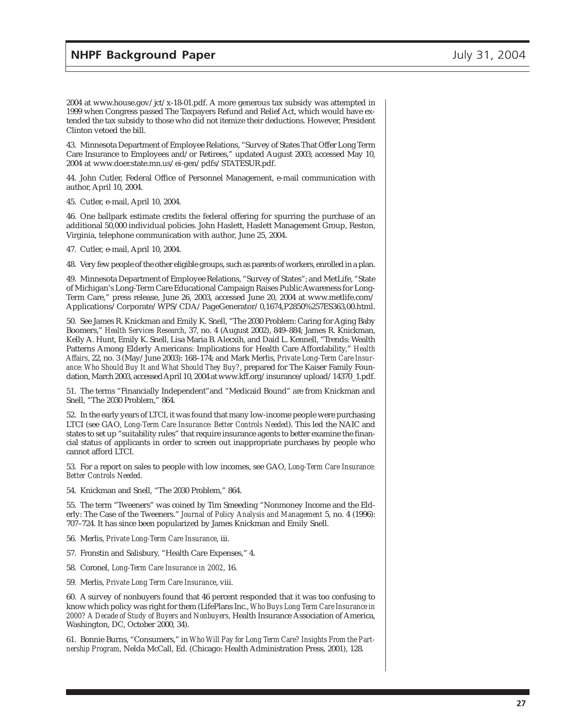2004 at www.house.gov/jct/x-18-01.pdf. A more generous tax subsidy was attempted in 1999 when Congress passed The Taxpayers Refund and Relief Act, which would have extended the tax subsidy to those who did not itemize their deductions. However, President Clinton vetoed the bill.

43. Minnesota Department of Employee Relations, "Survey of States That Offer Long Term Care Insurance to Employees and/or Retirees," updated August 2003; accessed May 10, 2004 at www.doer.state.mn.us/ei-gen/pdfs/STATESUR.pdf.

44. John Cutler, Federal Office of Personnel Management, e-mail communication with author, April 10, 2004.

45. Cutler, e-mail, April 10, 2004.

46. One ballpark estimate credits the federal offering for spurring the purchase of an additional 50,000 individual policies. John Haslett, Haslett Management Group, Reston, Virginia, telephone communication with author, June 25, 2004.

47. Cutler, e-mail, April 10, 2004.

48. Very few people of the other eligible groups, such as parents of workers, enrolled in a plan.

49. Minnesota Department of Employee Relations, "Survey of States"; and MetLife, "State of Michigan's Long-Term Care Educational Campaign Raises Public Awareness for Long-Term Care," press release, June 26, 2003, accessed June 20, 2004 at www.metlife.com/ Applications/Corporate/WPS/CDA/PageGenerator/0,1674,P2850%257ES363,00.html.

50. See James R. Knickman and Emily K. Snell, "The 2030 Problem: Caring for Aging Baby Boomers," *Health Services Research*, 37, no. 4 (August 2002), 849–884; James R. Knickman, Kelly A. Hunt, Emily K. Snell, Lisa Maria B. Alecxih, and Daid L. Kennell, "Trends: Wealth Patterns Among Elderly Americans: Implications for Health Care Affordability," *Health Affairs*, 22, no. 3 (May/June 2003): 168–174; and Mark Merlis, *Private Long-Term Care Insurance: Who Should Buy It and What Should They Buy?*, prepared for The Kaiser Family Foundation, March 2003, accessed April 10, 2004 at www.kff.org/insurance/upload/14370\_1.pdf.

51. The terms "Financially Independent"and "Medicaid Bound" are from Knickman and Snell, "The 2030 Problem," 864.

52. In the early years of LTCI, it was found that many low-income people were purchasing LTCI (see GAO, *Long-Term Care Insurance: Better Controls Needed*). This led the NAIC and states to set up "suitability rules" that require insurance agents to better examine the financial status of applicants in order to screen out inappropriate purchases by people who cannot afford LTCI.

53. For a report on sales to people with low incomes, see GAO, *Long-Term Care Insurance: Better Controls Needed*.

54. Knickman and Snell, "The 2030 Problem," 864.

55. The term "Tweeners" was coined by Tim Smeeding "Nonmoney Income and the Elderly: The Case of the Tweeners." *Journal of Policy Analysis and Management* 5, no. 4 (1996): 707–724. It has since been popularized by James Knickman and Emily Snell.

56. Merlis, *Private Long-Term Care Insurance*, iii.

- 57. Fronstin and Salisbury, "Health Care Expenses," 4.
- 58. Coronel, *Long-Term Care Insurance in 2002*, 16.
- 59. Merlis, *Private Long Term Care Insurance*, viii.

60. A survey of nonbuyers found that 46 percent responded that it was too confusing to know which policy was right for them (LifePlans Inc., *Who Buys Long Term Care Insurance in 2000? A Decade of Study of Buyers and Nonbuyers,* Health Insurance Association of America, Washington, DC, October 2000, 34).

61. Bonnie Burns, "Consumers," in *Who Will Pay for Long Term Care? Insights From the Partnership Program*, Nelda McCall, Ed. (Chicago: Health Administration Press, 2001), 128.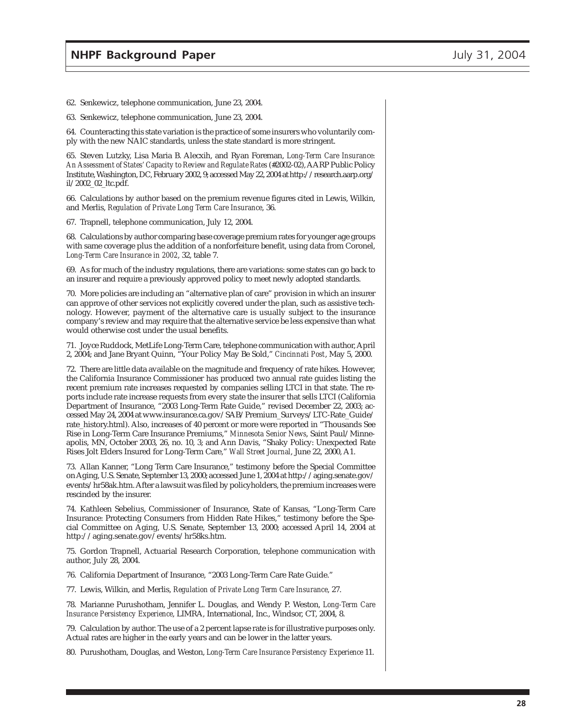62. Senkewicz, telephone communication, June 23, 2004.

63. Senkewicz, telephone communication, June 23, 2004.

64. Counteracting this state variation is the practice of some insurers who voluntarily comply with the new NAIC standards, unless the state standard is more stringent.

65. Steven Lutzky, Lisa Maria B. Alecxih, and Ryan Foreman, *Long-Term Care Insurance: An Assessment of States' Capacity to Review and Regulate Rates* (#2002-02), AARP Public Policy Institute, Washington, DC, February 2002, 9; accessed May 22, 2004 at http://research.aarp.org/ il/2002\_02\_ltc.pdf.

66. Calculations by author based on the premium revenue figures cited in Lewis, Wilkin, and Merlis, *Regulation of Private Long Term Care Insurance*, 36.

67. Trapnell, telephone communication, July 12, 2004.

68. Calculations by author comparing base coverage premium rates for younger age groups with same coverage plus the addition of a nonforfeiture benefit, using data from Coronel, *Long-Term Care Insurance in 2002*, 32, table 7.

69. As for much of the industry regulations, there are variations: some states can go back to an insurer and require a previously approved policy to meet newly adopted standards.

70. More policies are including an "alternative plan of care" provision in which an insurer can approve of other services not explicitly covered under the plan, such as assistive technology. However, payment of the alternative care is usually subject to the insurance company's review and may require that the alternative service be less expensive than what would otherwise cost under the usual benefits.

71. Joyce Ruddock, MetLife Long-Term Care, telephone communication with author, April 2, 2004; and Jane Bryant Quinn, "Your Policy May Be Sold," *Cincinnati Post*, May 5, 2000.

72. There are little data available on the magnitude and frequency of rate hikes. However, the California Insurance Commissioner has produced two annual rate guides listing the recent premium rate increases requested by companies selling LTCI in that state. The reports include rate increase requests from every state the insurer that sells LTCI (California Department of Insurance, "2003 Long-Term Rate Guide," revised December 22, 2003; accessed May 24, 2004 at www.insurance.ca.gov/SAB/Premium\_Surveys/LTC-Rate\_Guide/ rate\_history.html). Also, increases of 40 percent or more were reported in "Thousands See Rise in Long-Term Care Insurance Premiums," *Minnesota Senior News*, Saint Paul/Minneapolis, MN, October 2003, 26, no. 10, 3; and Ann Davis, "Shaky Policy: Unexpected Rate Rises Jolt Elders Insured for Long-Term Care," *Wall Street Journal*, June 22, 2000, A1.

73. Allan Kanner, "Long Term Care Insurance," testimony before the Special Committee on Aging, U.S. Senate, September 13, 2000; accessed June 1, 2004 at http://aging.senate.gov/ events/hr58ak.htm. After a lawsuit was filed by policyholders, the premium increases were rescinded by the insurer.

74. Kathleen Sebelius, Commissioner of Insurance, State of Kansas, "Long-Term Care Insurance: Protecting Consumers from Hidden Rate Hikes," testimony before the Special Committee on Aging, U.S. Senate, September 13, 2000; accessed April 14, 2004 at http://aging.senate.gov/events/hr58ks.htm.

75. Gordon Trapnell, Actuarial Research Corporation, telephone communication with author, July 28, 2004.

76. California Department of Insurance, "2003 Long-Term Care Rate Guide."

77. Lewis, Wilkin, and Merlis, *Regulation of Private Long Term Care Insurance*, 27.

78. Marianne Purushotham, Jennifer L. Douglas, and Wendy P. Weston, *Long-Term Care Insurance Persistency Experience*, LIMRA, International, Inc., Windsor, CT, 2004, 8.

79. Calculation by author. The use of a 2 percent lapse rate is for illustrative purposes only. Actual rates are higher in the early years and can be lower in the latter years.

80. Purushotham, Douglas, and Weston, *Long-Term Care Insurance Persistency Experience* 11.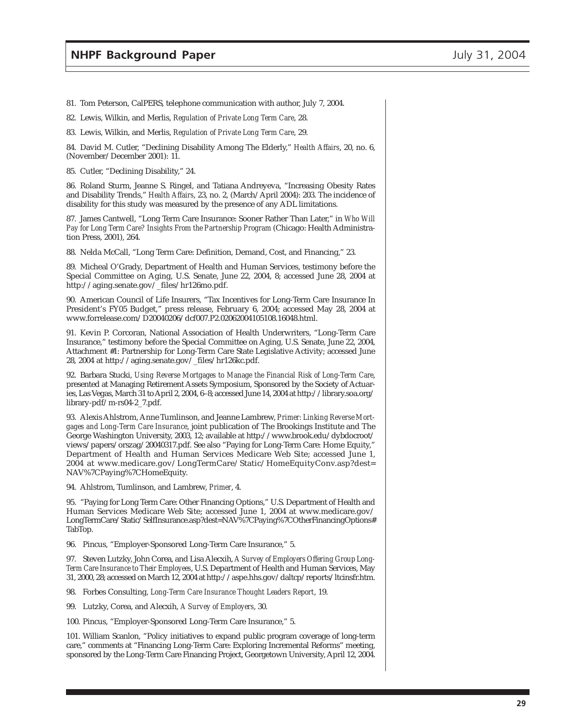81. Tom Peterson, CalPERS, telephone communication with author, July 7, 2004.

82. Lewis, Wilkin, and Merlis, *Regulation of Private Long Term Care*, 28.

83. Lewis, Wilkin, and Merlis, *Regulation of Private Long Term Care*, 29.

84. David M. Cutler, "Declining Disability Among The Elderly," *Health Affairs*, 20, no. 6, (November/December 2001): 11.

85. Cutler, "Declining Disability," 24.

86. Roland Sturm, Jeanne S. Ringel, and Tatiana Andreyeva, "Increasing Obesity Rates and Disability Trends," *Health Affairs*, 23, no. 2, (March/April 2004): 203. The incidence of disability for this study was measured by the presence of any ADL limitations.

87. James Cantwell, "Long Term Care Insurance: Sooner Rather Than Later," in *Who Will Pay for Long Term Care? Insights From the Partnership Program* (Chicago: Health Administration Press, 2001), 264.

88. Nelda McCall, "Long Term Care: Definition, Demand, Cost, and Financing," 23.

89. Micheal O'Grady, Department of Health and Human Services, testimony before the Special Committee on Aging, U.S. Senate, June 22, 2004, 8; accessed June 28, 2004 at http://aging.senate.gov/\_files/hr126mo.pdf.

90. American Council of Life Insurers, "Tax Incentives for Long-Term Care Insurance In President's FY05 Budget," press release, February 6, 2004; accessed May 28, 2004 at www.forrelease.com/D20040206/dcf007.P2.02062004105108.16048.html.

91. Kevin P. Corcoran, National Association of Health Underwriters, "Long-Term Care Insurance," testimony before the Special Committee on Aging, U.S. Senate, June 22, 2004, Attachment #1: Partnership for Long-Term Care State Legislative Activity; accessed June 28, 2004 at http://aging.senate.gov/\_files/hr126kc.pdf.

92. Barbara Stucki, *Using Reverse Mortgages to Manage the Financial Risk of Long-Term Care*, presented at Managing Retirement Assets Symposium, Sponsored by the Society of Actuaries, Las Vegas, March 31 to April 2, 2004, 6–8; accessed June 14, 2004 at http://library.soa.org/ library-pdf/m-rs04-2\_7.pdf.

93. Alexis Ahlstrom, Anne Tumlinson, and Jeanne Lambrew, *Primer: Linking Reverse Mortgages and Long-Term Care Insurance*, joint publication of The Brookings Institute and The George Washington University, 2003, 12; available at http://www.brook.edu/dybdocroot/ views/papers/orszag/20040317.pdf. See also "Paying for Long-Term Care: Home Equity," Department of Health and Human Services Medicare Web Site; accessed June 1, 2004 at www.medicare.gov/LongTermCare/Static/HomeEquityConv.asp?dest= NAV%7CPaying%7CHomeEquity.

94. Ahlstrom, Tumlinson, and Lambrew, *Primer*, 4.

95. "Paying for Long Term Care: Other Financing Options," U.S. Department of Health and Human Services Medicare Web Site; accessed June 1, 2004 at www.medicare.gov/ LongTermCare/Static/SelfInsurance.asp?dest=NAV%7CPaying%7COtherFinancingOptions# TabTop.

96. Pincus, "Employer-Sponsored Long-Term Care Insurance," 5.

97. Steven Lutzky, John Corea, and Lisa Alecxih, *A Survey of Employers Offering Group Long-Term Care Insurance to Their Employees*, U.S. Department of Health and Human Services, May 31, 2000, 28; accessed on March 12, 2004 at http://aspe.hhs.gov/daltcp/reports/ltcinsfr.htm.

98. Forbes Consulting, *Long-Term Care Insurance Thought Leaders Report*, 19.

99. Lutzky, Corea, and Alecxih, *A Survey of Employers*, 30.

100. Pincus, "Employer-Sponsored Long-Term Care Insurance," 5.

101. William Scanlon, "Policy initiatives to expand public program coverage of long-term care," comments at "Financing Long-Term Care: Exploring Incremental Reforms" meeting, sponsored by the Long-Term Care Financing Project, Georgetown University, April 12, 2004.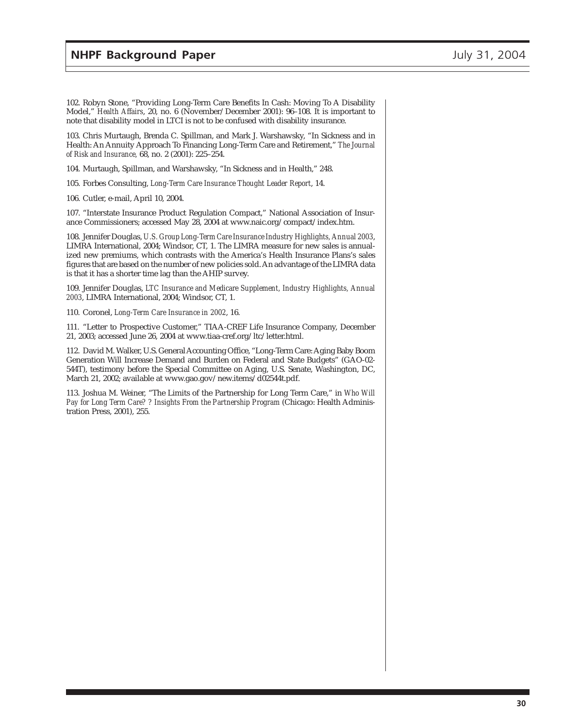102. Robyn Stone, "Providing Long-Term Care Benefits In Cash: Moving To A Disability Model," *Health Affairs*, 20, no. 6 (November/December 2001): 96–108. It is important to note that disability model in LTCI is not to be confused with disability insurance.

103. Chris Murtaugh, Brenda C. Spillman, and Mark J. Warshawsky, "In Sickness and in Health: An Annuity Approach To Financing Long-Term Care and Retirement," *The Journal of Risk and Insurance,* 68, no. 2 (2001): 225–254.

104. Murtaugh, Spillman, and Warshawsky, "In Sickness and in Health," 248.

105. Forbes Consulting, *Long-Term Care Insurance Thought Leader Report*, 14.

106. Cutler, e-mail, April 10, 2004.

107. "Interstate Insurance Product Regulation Compact," National Association of Insurance Commissioners; accessed May 28, 2004 at www.naic.org/compact/index.htm.

108. Jennifer Douglas, *U.S. Group Long-Term Care Insurance Industry Highlights, Annual 2003*, LIMRA International, 2004; Windsor, CT, 1. The LIMRA measure for new sales is annualized new premiums, which contrasts with the America's Health Insurance Plans's sales figures that are based on the number of new policies sold. An advantage of the LIMRA data is that it has a shorter time lag than the AHIP survey.

109. Jennifer Douglas, *LTC Insurance and Medicare Supplement, Industry Highlights, Annual 2003*, LIMRA International, 2004; Windsor, CT, 1.

110. Coronel, *Long-Term Care Insurance in 2002*, 16.

111. "Letter to Prospective Customer," TIAA-CREF Life Insurance Company, December 21, 2003; accessed June 26, 2004 at www.tiaa-cref.org/ltc/letter.html.

112. David M. Walker, U.S. General Accounting Office, "Long-Term Care: Aging Baby Boom Generation Will Increase Demand and Burden on Federal and State Budgets" (GAO-02- 544T), testimony before the Special Committee on Aging, U.S. Senate, Washington, DC, March 21, 2002; available at www.gao.gov/new.items/d02544t.pdf.

113. Joshua M. Weiner, "The Limits of the Partnership for Long Term Care," in *Who Will Pay for Long Term Care? ? Insights From the Partnership Program* (Chicago: Health Administration Press, 2001), 255.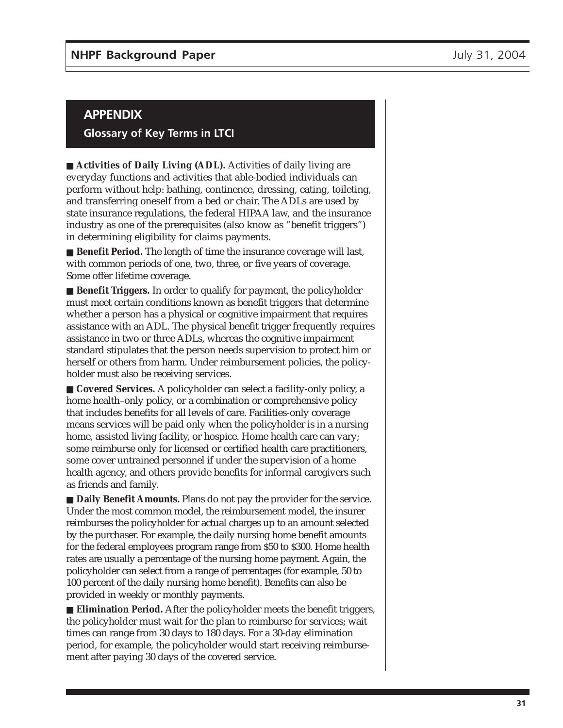## **APPENDIX**

#### **Glossary of Key Terms in LTCI**

■ **Activities of Daily Living (ADL).** Activities of daily living are everyday functions and activities that able-bodied individuals can perform without help: bathing, continence, dressing, eating, toileting, and transferring oneself from a bed or chair. The ADLs are used by state insurance regulations, the federal HIPAA law, and the insurance industry as one of the prerequisites (also know as "benefit triggers") in determining eligibility for claims payments.

■ **Benefit Period.** The length of time the insurance coverage will last, with common periods of one, two, three, or five years of coverage. Some offer lifetime coverage.

■ **Benefit Triggers.** In order to qualify for payment, the policyholder must meet certain conditions known as benefit triggers that determine whether a person has a physical or cognitive impairment that requires assistance with an ADL. The physical benefit trigger frequently requires assistance in two or three ADLs, whereas the cognitive impairment standard stipulates that the person needs supervision to protect him or herself or others from harm. Under reimbursement policies, the policyholder must also be receiving services.

■ **Covered Services.** A policyholder can select a facility-only policy, a home health–only policy, or a combination or comprehensive policy that includes benefits for all levels of care. Facilities-only coverage means services will be paid only when the policyholder is in a nursing home, assisted living facility, or hospice. Home health care can vary; some reimburse only for licensed or certified health care practitioners, some cover untrained personnel if under the supervision of a home health agency, and others provide benefits for informal caregivers such as friends and family.

■ **Daily Benefit Amounts.** Plans do not pay the provider for the service. Under the most common model, the reimbursement model, the insurer reimburses the policyholder for actual charges up to an amount selected by the purchaser. For example, the daily nursing home benefit amounts for the federal employees program range from \$50 to \$300. Home health rates are usually a percentage of the nursing home payment. Again, the policyholder can select from a range of percentages (for example, 50 to 100 percent of the daily nursing home benefit). Benefits can also be provided in weekly or monthly payments.

■ **Elimination Period.** After the policyholder meets the benefit triggers, the policyholder must wait for the plan to reimburse for services; wait times can range from 30 days to 180 days. For a 30-day elimination period, for example, the policyholder would start receiving reimbursement after paying 30 days of the covered service.